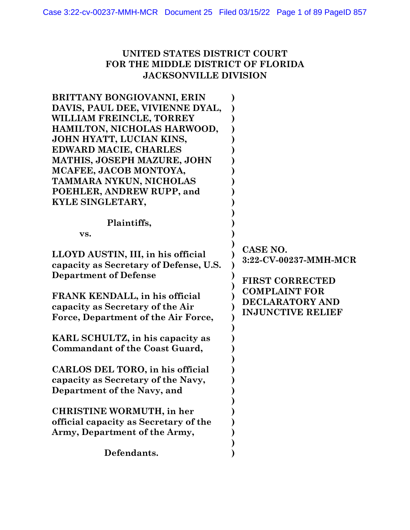## **UNITED STATES DISTRICT COURT FOR THE MIDDLE DISTRICT OF FLORIDA JACKSONVILLE DIVISION**

| <b>BRITTANY BONGIOVANNI, ERIN</b><br>DAVIS, PAUL DEE, VIVIENNE DYAL,<br>WILLIAM FREINCLE, TORREY<br>HAMILTON, NICHOLAS HARWOOD,<br>JOHN HYATT, LUCIAN KINS,<br>EDWARD MACIE, CHARLES<br>MATHIS, JOSEPH MAZURE, JOHN<br>MCAFEE, JACOB MONTOYA,<br>TAMMARA NYKUN, NICHOLAS<br>POEHLER, ANDREW RUPP, and<br>KYLE SINGLETARY, |                                                                     |
|---------------------------------------------------------------------------------------------------------------------------------------------------------------------------------------------------------------------------------------------------------------------------------------------------------------------------|---------------------------------------------------------------------|
| Plaintiffs,<br>VS.                                                                                                                                                                                                                                                                                                        |                                                                     |
| LLOYD AUSTIN, III, in his official<br>capacity as Secretary of Defense, U.S.<br><b>Department of Defense</b>                                                                                                                                                                                                              | CASE NO.<br>3:22-CV-00237-MMH-MCR<br><b>FIRST CORRECTED</b>         |
| FRANK KENDALL, in his official<br>capacity as Secretary of the Air<br>Force, Department of the Air Force,                                                                                                                                                                                                                 | <b>COMPLAINT FOR</b><br>DECLARATORY AND<br><b>INJUNCTIVE RELIEF</b> |
| KARL SCHULTZ, in his capacity as<br><b>Commandant of the Coast Guard,</b>                                                                                                                                                                                                                                                 |                                                                     |
| CARLOS DEL TORO, in his official<br>capacity as Secretary of the Navy,<br>Department of the Navy, and                                                                                                                                                                                                                     |                                                                     |
| <b>CHRISTINE WORMUTH, in her</b><br>official capacity as Secretary of the<br>Army, Department of the Army,                                                                                                                                                                                                                |                                                                     |
| Defendants.                                                                                                                                                                                                                                                                                                               |                                                                     |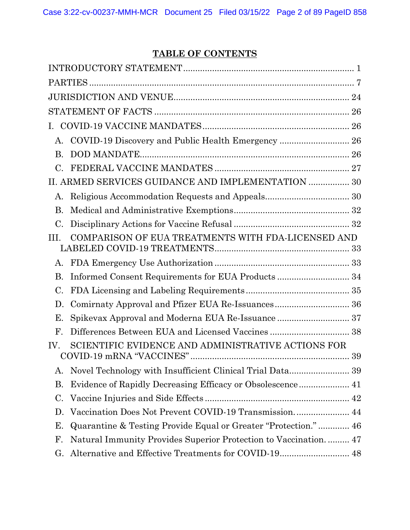# **TABLE OF CONTENTS**

| Ι.              |                                                                 |  |
|-----------------|-----------------------------------------------------------------|--|
| А.              | COVID-19 Discovery and Public Health Emergency  26              |  |
| <b>B.</b>       |                                                                 |  |
| $\mathcal{C}$ . |                                                                 |  |
|                 | II. ARMED SERVICES GUIDANCE AND IMPLEMENTATION  30              |  |
| А.              |                                                                 |  |
| <b>B.</b>       |                                                                 |  |
| C.              |                                                                 |  |
| III.            | COMPARISON OF EUA TREATMENTS WITH FDA-LICENSED AND              |  |
| А.              |                                                                 |  |
| Β.              | Informed Consent Requirements for EUA Products 34               |  |
| C.              |                                                                 |  |
| D.              | Comirnaty Approval and Pfizer EUA Re-Issuances 36               |  |
| Е.              |                                                                 |  |
| $\mathbf{F}$    | Differences Between EUA and Licensed Vaccines  38               |  |
| IV.             | SCIENTIFIC EVIDENCE AND ADMINISTRATIVE ACTIONS FOR              |  |
| А.              |                                                                 |  |
| Β.              | Evidence of Rapidly Decreasing Efficacy or Obsolescence 41      |  |
| C.              |                                                                 |  |
| D.              | Vaccination Does Not Prevent COVID-19 Transmission 44           |  |
| Ε.              | Quarantine & Testing Provide Equal or Greater "Protection." 46  |  |
| F.              | Natural Immunity Provides Superior Protection to Vaccination 47 |  |
| G.              |                                                                 |  |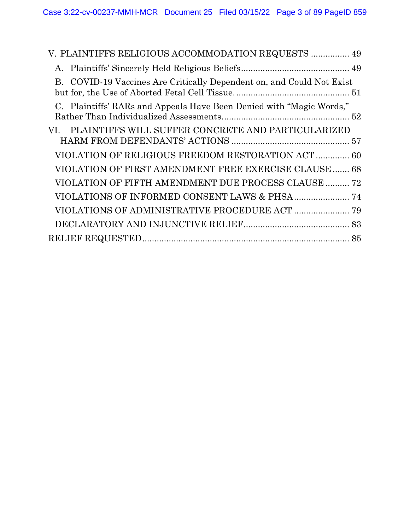| V. PLAINTIFFS RELIGIOUS ACCOMMODATION REQUESTS  49                    |  |
|-----------------------------------------------------------------------|--|
|                                                                       |  |
| B. COVID-19 Vaccines Are Critically Dependent on, and Could Not Exist |  |
| C. Plaintiffs' RARs and Appeals Have Been Denied with "Magic Words,"  |  |
| PLAINTIFFS WILL SUFFER CONCRETE AND PARTICULARIZED<br>VI.             |  |
| VIOLATION OF RELIGIOUS FREEDOM RESTORATION ACT 60                     |  |
| VIOLATION OF FIRST AMENDMENT FREE EXERCISE CLAUSE 68                  |  |
| VIOLATION OF FIFTH AMENDMENT DUE PROCESS CLAUSE  72                   |  |
|                                                                       |  |
|                                                                       |  |
|                                                                       |  |
|                                                                       |  |
|                                                                       |  |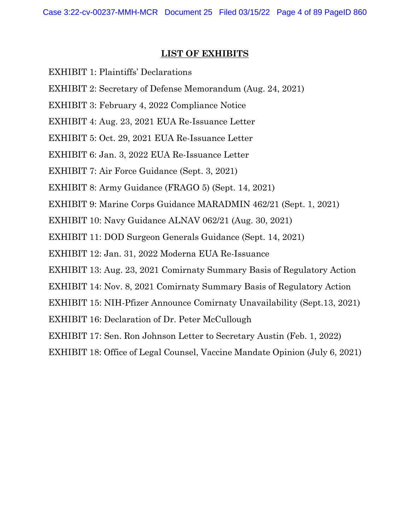### **LIST OF EXHIBITS**

- EXHIBIT 1: Plaintiffs' Declarations
- EXHIBIT 2: Secretary of Defense Memorandum (Aug. 24, 2021)
- EXHIBIT 3: February 4, 2022 Compliance Notice
- EXHIBIT 4: Aug. 23, 2021 EUA Re-Issuance Letter
- EXHIBIT 5: Oct. 29, 2021 EUA Re-Issuance Letter
- EXHIBIT 6: Jan. 3, 2022 EUA Re-Issuance Letter
- EXHIBIT 7: Air Force Guidance (Sept. 3, 2021)
- EXHIBIT 8: Army Guidance (FRAGO 5) (Sept. 14, 2021)
- EXHIBIT 9: Marine Corps Guidance MARADMIN 462/21 (Sept. 1, 2021)
- EXHIBIT 10: Navy Guidance ALNAV 062/21 (Aug. 30, 2021)
- EXHIBIT 11: DOD Surgeon Generals Guidance (Sept. 14, 2021)
- EXHIBIT 12: Jan. 31, 2022 Moderna EUA Re-Issuance
- EXHIBIT 13: Aug. 23, 2021 Comirnaty Summary Basis of Regulatory Action
- EXHIBIT 14: Nov. 8, 2021 Comirnaty Summary Basis of Regulatory Action
- EXHIBIT 15: NIH-Pfizer Announce Comirnaty Unavailability (Sept.13, 2021)
- EXHIBIT 16: Declaration of Dr. Peter McCullough
- EXHIBIT 17: Sen. Ron Johnson Letter to Secretary Austin (Feb. 1, 2022)
- EXHIBIT 18: Office of Legal Counsel, Vaccine Mandate Opinion (July 6, 2021)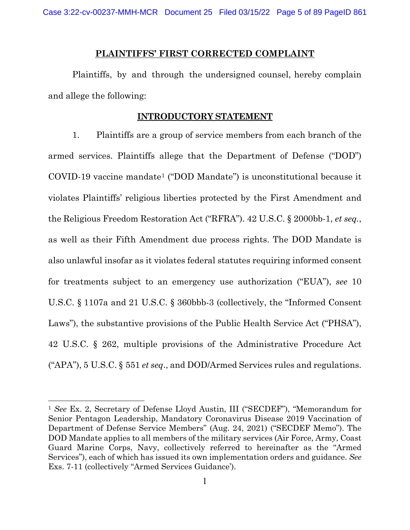#### **PLAINTIFFS' FIRST CORRECTED COMPLAINT**

Plaintiffs, by and through the undersigned counsel, hereby complain and allege the following:

#### **INTRODUCTORY STATEMENT**

<span id="page-4-0"></span>1. Plaintiffs are a group of service members from each branch of the armed services. Plaintiffs allege that the Department of Defense ("DOD") COVID-19 vaccine mandate[1](#page-4-1) ("DOD Mandate") is unconstitutional because it violates Plaintiffs' religious liberties protected by the First Amendment and the Religious Freedom Restoration Act ("RFRA"). 42 U.S.C. § 2000bb-1, *et seq.*, as well as their Fifth Amendment due process rights. The DOD Mandate is also unlawful insofar as it violates federal statutes requiring informed consent for treatments subject to an emergency use authorization ("EUA"), *see* 10 U.S.C. § 1107a and 21 U.S.C. § 360bbb-3 (collectively, the "Informed Consent Laws"), the substantive provisions of the Public Health Service Act ("PHSA"), 42 U.S.C. § 262, multiple provisions of the Administrative Procedure Act ("APA"), 5 U.S.C. § 551 *et seq*., and DOD/Armed Services rules and regulations.

<span id="page-4-1"></span><sup>1</sup> *See* Ex. 2, Secretary of Defense Lloyd Austin, III ("SECDEF"), "Memorandum for Senior Pentagon Leadership, Mandatory Coronavirus Disease 2019 Vaccination of Department of Defense Service Members" (Aug. 24, 2021) ("SECDEF Memo"). The DOD Mandate applies to all members of the military services (Air Force, Army, Coast Guard Marine Corps, Navy, collectively referred to hereinafter as the "Armed Services"), each of which has issued its own implementation orders and guidance. *See*  Exs. 7-11 (collectively "Armed Services Guidance').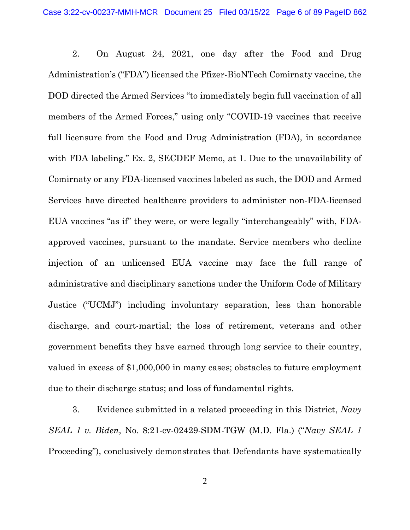2. On August 24, 2021, one day after the Food and Drug Administration's ("FDA") licensed the Pfizer-BioNTech Comirnaty vaccine, the DOD directed the Armed Services "to immediately begin full vaccination of all members of the Armed Forces," using only "COVID-19 vaccines that receive full licensure from the Food and Drug Administration (FDA), in accordance with FDA labeling." Ex. 2, SECDEF Memo, at 1. Due to the unavailability of Comirnaty or any FDA-licensed vaccines labeled as such, the DOD and Armed Services have directed healthcare providers to administer non-FDA-licensed EUA vaccines "as if" they were, or were legally "interchangeably" with, FDAapproved vaccines, pursuant to the mandate. Service members who decline injection of an unlicensed EUA vaccine may face the full range of administrative and disciplinary sanctions under the Uniform Code of Military Justice ("UCMJ") including involuntary separation, less than honorable discharge, and court-martial; the loss of retirement, veterans and other government benefits they have earned through long service to their country, valued in excess of \$1,000,000 in many cases; obstacles to future employment due to their discharge status; and loss of fundamental rights.

3. Evidence submitted in a related proceeding in this District, *Navy SEAL 1 v. Biden*, No. 8:21-cv-02429-SDM-TGW (M.D. Fla.) ("*Navy SEAL 1* Proceeding"), conclusively demonstrates that Defendants have systematically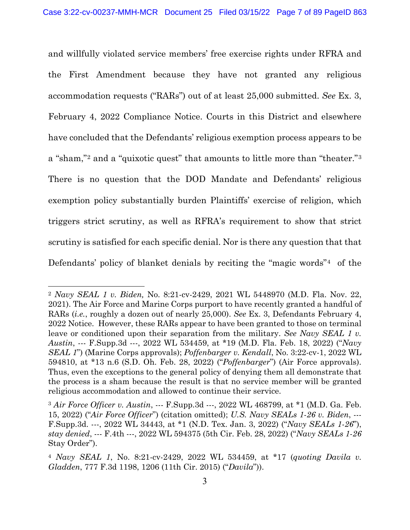<span id="page-6-3"></span>and willfully violated service members' free exercise rights under RFRA and the First Amendment because they have not granted any religious accommodation requests ("RARs") out of at least 25,000 submitted. *See* Ex. 3, February 4, 2022 Compliance Notice. Courts in this District and elsewhere have concluded that the Defendants' religious exemption process appears to be a "sham,"[2](#page-6-0) and a "quixotic quest" that amounts to little more than "theater."[3](#page-6-1) There is no question that the DOD Mandate and Defendants' religious exemption policy substantially burden Plaintiffs' exercise of religion, which triggers strict scrutiny, as well as RFRA's requirement to show that strict scrutiny is satisfied for each specific denial. Nor is there any question that that Defendants' policy of blanket denials by reciting the "magic words"<sup>[4](#page-6-2)</sup> of the

<span id="page-6-0"></span><sup>2</sup> *Navy SEAL 1 v. Biden,* No. 8:21-cv-2429, 2021 WL 5448970 (M.D. Fla. Nov. 22, 2021). The Air Force and Marine Corps purport to have recently granted a handful of RARs (*i.e.*, roughly a dozen out of nearly 25,000). *See* Ex. 3, Defendants February 4, 2022 Notice. However, these RARs appear to have been granted to those on terminal leave or conditioned upon their separation from the military. *See Navy SEAL 1 v. Austin*, --- F.Supp.3d ---, 2022 WL 534459, at \*19 (M.D. Fla. Feb. 18, 2022) ("*Navy SEAL 1*") (Marine Corps approvals); *Poffenbarger v. Kendall*, No. 3:22-cv-1, 2022 WL 594810, at \*13 n.6 (S.D. Oh. Feb. 28, 2022) ("*Poffenbarger*") (Air Force approvals). Thus, even the exceptions to the general policy of denying them all demonstrate that the process is a sham because the result is that no service member will be granted religious accommodation and allowed to continue their service.

<span id="page-6-1"></span><sup>3</sup> *Air Force Officer v. Austin*, --- F.Supp.3d ---, 2022 WL 468799, at \*1 (M.D. Ga. Feb. 15, 2022) ("*Air Force Officer*") (citation omitted); *U.S. Navy SEALs 1-26 v. Biden*, --- F.Supp.3d. ---, 2022 WL 34443, at \*1 (N.D. Tex. Jan. 3, 2022) ("*Navy SEALs 1-26*"), *stay denied*, --- F.4th ---, 2022 WL 594375 (5th Cir. Feb. 28, 2022) ("*Navy SEALs 1-26*  Stay Order").

<span id="page-6-2"></span><sup>4</sup> *Navy SEAL 1*, No. 8:21-cv-2429, 2022 WL 534459, at \*17 (*quoting Davila v. Gladden*, 777 F.3d 1198, 1206 (11th Cir. 2015) ("*Davila*")).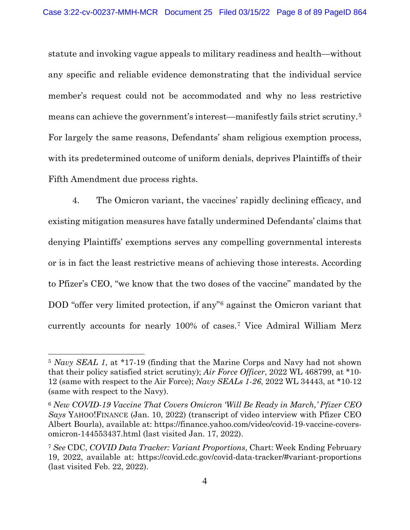statute and invoking vague appeals to military readiness and health—without any specific and reliable evidence demonstrating that the individual service member's request could not be accommodated and why no less restrictive means can achieve the government's interest—manifestly fails strict scrutiny.[5](#page-7-0) For largely the same reasons, Defendants' sham religious exemption process, with its predetermined outcome of uniform denials, deprives Plaintiffs of their Fifth Amendment due process rights.

4. The Omicron variant, the vaccines' rapidly declining efficacy, and existing mitigation measures have fatally undermined Defendants' claims that denying Plaintiffs' exemptions serves any compelling governmental interests or is in fact the least restrictive means of achieving those interests. According to Pfizer's CEO, "we know that the two doses of the vaccine" mandated by the DOD "offer very limited protection, if any"<sup>[6](#page-7-1)</sup> against the Omicron variant that currently accounts for nearly 100% of cases.[7](#page-7-2) Vice Admiral William Merz

<span id="page-7-0"></span><sup>5</sup> *Navy SEAL 1*, at \*17-19 (finding that the Marine Corps and Navy had not shown that their policy satisfied strict scrutiny); *Air Force Officer*, 2022 WL 468799, at \*10- 12 (same with respect to the Air Force); *Navy SEALs 1-26*, 2022 WL 34443, at \*10-12 (same with respect to the Navy).

<span id="page-7-1"></span><sup>6</sup> *New COVID-19 Vaccine That Covers Omicron 'Will Be Ready in March,' Pfizer CEO Says* YAHOO!FINANCE (Jan. 10, 2022) (transcript of video interview with Pfizer CEO Albert Bourla), available at: https://finance.yahoo.com/video/covid-19-vaccine-coversomicron-144553437.html (last visited Jan. 17, 2022).

<span id="page-7-2"></span><sup>7</sup> *See* CDC, *COVID Data Tracker: Variant Proportions*, Chart: Week Ending February 19, 2022, available at: https://covid.cdc.gov/covid-data-tracker/#variant-proportions (last visited Feb. 22, 2022).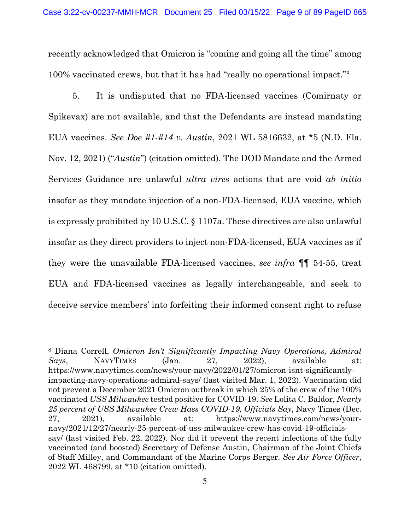recently acknowledged that Omicron is "coming and going all the time" among 100% vaccinated crews, but that it has had "really no operational impact."[8](#page-8-0)

5. It is undisputed that no FDA-licensed vaccines (Comirnaty or Spikevax) are not available, and that the Defendants are instead mandating EUA vaccines. *See Doe #1-#14 v. Austin*, 2021 WL 5816632, at \*5 (N.D. Fla. Nov. 12, 2021) ("*Austin*") (citation omitted). The DOD Mandate and the Armed Services Guidance are unlawful *ultra vires* actions that are void *ab initio* insofar as they mandate injection of a non-FDA-licensed, EUA vaccine, which is expressly prohibited by 10 U.S.C. § 1107a. These directives are also unlawful insofar as they direct providers to inject non-FDA-licensed, EUA vaccines as if they were the unavailable FDA-licensed vaccines, *see infra* ¶¶ [54](#page-40-1)[-55,](#page-40-2) treat EUA and FDA-licensed vaccines as legally interchangeable, and seek to deceive service members' into forfeiting their informed consent right to refuse

<span id="page-8-0"></span><sup>8</sup> Diana Correll, *Omicron Isn't Significantly Impacting Navy Operations, Admiral Says*, NAVYTIMES (Jan. 27, 2022), available at: https://www.navytimes.com/news/your-navy/2022/01/27/omicron-isnt-significantlyimpacting-navy-operations-admiral-says/ (last visited Mar. 1, 2022). Vaccination did not prevent a December 2021 Omicron outbreak in which 25% of the crew of the 100% vaccinated *USS Milwaukee* tested positive for COVID-19. *See* Lolita C. Baldor, *Nearly 25 percent of USS Milwaukee Crew Hass COVID-19, Officials Say*, Navy Times (Dec. 27, 2021), available at: https://www.navytimes.com/news/yournavy/2021/12/27/nearly-25-percent-of-uss-milwaukee-crew-has-covid-19-officialssay/ (last visited Feb. 22, 2022). Nor did it prevent the recent infections of the fully vaccinated (and boosted) Secretary of Defense Austin, Chairman of the Joint Chiefs of Staff Milley, and Commandant of the Marine Corps Berger. *See Air Force Officer*, 2022 WL 468799, at \*10 (citation omitted).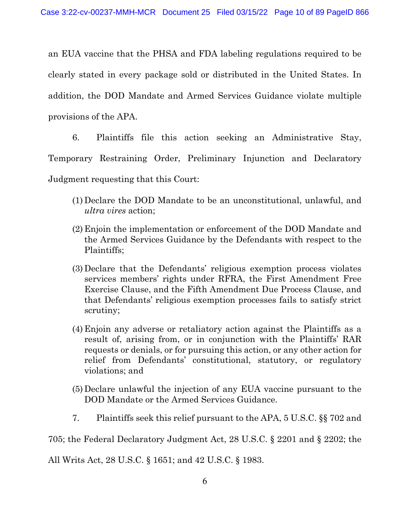an EUA vaccine that the PHSA and FDA labeling regulations required to be clearly stated in every package sold or distributed in the United States. In addition, the DOD Mandate and Armed Services Guidance violate multiple provisions of the APA.

6. Plaintiffs file this action seeking an Administrative Stay, Temporary Restraining Order, Preliminary Injunction and Declaratory Judgment requesting that this Court:

- (1) Declare the DOD Mandate to be an unconstitutional, unlawful, and *ultra vires* action;
- (2) Enjoin the implementation or enforcement of the DOD Mandate and the Armed Services Guidance by the Defendants with respect to the Plaintiffs;
- (3) Declare that the Defendants' religious exemption process violates services members' rights under RFRA, the First Amendment Free Exercise Clause, and the Fifth Amendment Due Process Clause, and that Defendants' religious exemption processes fails to satisfy strict scrutiny;
- (4) Enjoin any adverse or retaliatory action against the Plaintiffs as a result of, arising from, or in conjunction with the Plaintiffs' RAR requests or denials, or for pursuing this action, or any other action for relief from Defendants' constitutional, statutory, or regulatory violations; and
- (5) Declare unlawful the injection of any EUA vaccine pursuant to the DOD Mandate or the Armed Services Guidance.
- 7. Plaintiffs seek this relief pursuant to the APA, 5 U.S.C. §§ 702 and

705; the Federal Declaratory Judgment Act, 28 U.S.C. § 2201 and § 2202; the

All Writs Act, 28 U.S.C. § 1651; and 42 U.S.C. § 1983.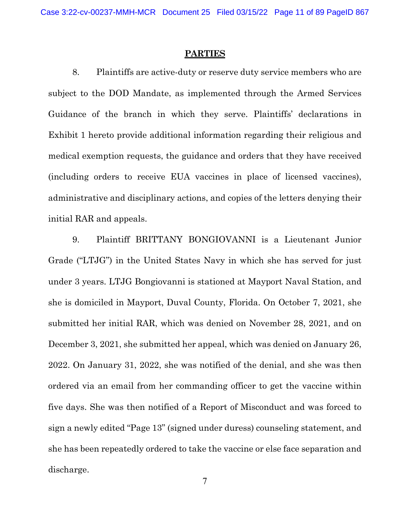#### **PARTIES**

<span id="page-10-0"></span>8. Plaintiffs are active-duty or reserve duty service members who are subject to the DOD Mandate, as implemented through the Armed Services Guidance of the branch in which they serve. Plaintiffs' declarations in Exhibit 1 hereto provide additional information regarding their religious and medical exemption requests, the guidance and orders that they have received (including orders to receive EUA vaccines in place of licensed vaccines), administrative and disciplinary actions, and copies of the letters denying their initial RAR and appeals.

9. Plaintiff BRITTANY BONGIOVANNI is a Lieutenant Junior Grade ("LTJG") in the United States Navy in which she has served for just under 3 years. LTJG Bongiovanni is stationed at Mayport Naval Station, and she is domiciled in Mayport, Duval County, Florida. On October 7, 2021, she submitted her initial RAR, which was denied on November 28, 2021, and on December 3, 2021, she submitted her appeal, which was denied on January 26, 2022. On January 31, 2022, she was notified of the denial, and she was then ordered via an email from her commanding officer to get the vaccine within five days. She was then notified of a Report of Misconduct and was forced to sign a newly edited "Page 13" (signed under duress) counseling statement, and she has been repeatedly ordered to take the vaccine or else face separation and discharge.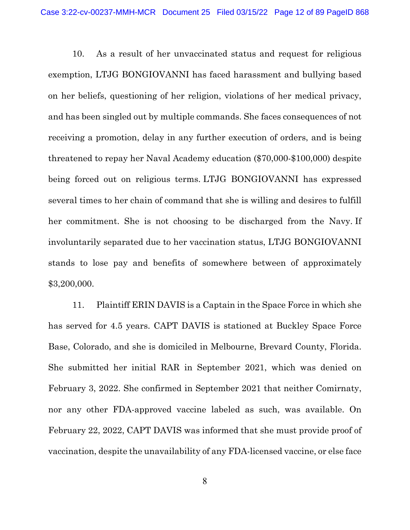10. As a result of her unvaccinated status and request for religious exemption, LTJG BONGIOVANNI has faced harassment and bullying based on her beliefs, questioning of her religion, violations of her medical privacy, and has been singled out by multiple commands. She faces consequences of not receiving a promotion, delay in any further execution of orders, and is being threatened to repay her Naval Academy education (\$70,000-\$100,000) despite being forced out on religious terms. LTJG BONGIOVANNI has expressed several times to her chain of command that she is willing and desires to fulfill her commitment. She is not choosing to be discharged from the Navy. If involuntarily separated due to her vaccination status, LTJG BONGIOVANNI stands to lose pay and benefits of somewhere between of approximately \$3,200,000.

11. Plaintiff ERIN DAVIS is a Captain in the Space Force in which she has served for 4.5 years. CAPT DAVIS is stationed at Buckley Space Force Base, Colorado, and she is domiciled in Melbourne, Brevard County, Florida. She submitted her initial RAR in September 2021, which was denied on February 3, 2022. She confirmed in September 2021 that neither Comirnaty, nor any other FDA-approved vaccine labeled as such, was available. On February 22, 2022, CAPT DAVIS was informed that she must provide proof of vaccination, despite the unavailability of any FDA-licensed vaccine, or else face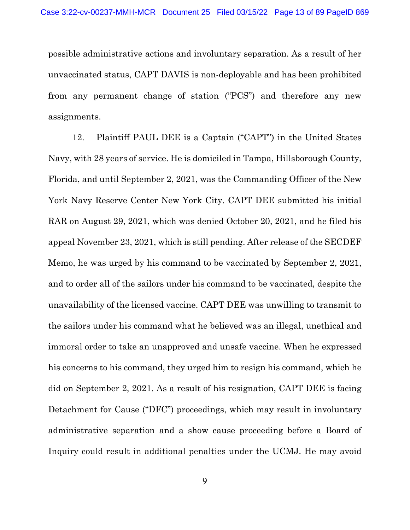possible administrative actions and involuntary separation. As a result of her unvaccinated status, CAPT DAVIS is non-deployable and has been prohibited from any permanent change of station ("PCS") and therefore any new assignments.

12. Plaintiff PAUL DEE is a Captain ("CAPT") in the United States Navy, with 28 years of service. He is domiciled in Tampa, Hillsborough County, Florida, and until September 2, 2021, was the Commanding Officer of the New York Navy Reserve Center New York City. CAPT DEE submitted his initial RAR on August 29, 2021, which was denied October 20, 2021, and he filed his appeal November 23, 2021, which is still pending. After release of the SECDEF Memo, he was urged by his command to be vaccinated by September 2, 2021, and to order all of the sailors under his command to be vaccinated, despite the unavailability of the licensed vaccine. CAPT DEE was unwilling to transmit to the sailors under his command what he believed was an illegal, unethical and immoral order to take an unapproved and unsafe vaccine. When he expressed his concerns to his command, they urged him to resign his command, which he did on September 2, 2021. As a result of his resignation, CAPT DEE is facing Detachment for Cause ("DFC") proceedings, which may result in involuntary administrative separation and a show cause proceeding before a Board of Inquiry could result in additional penalties under the UCMJ. He may avoid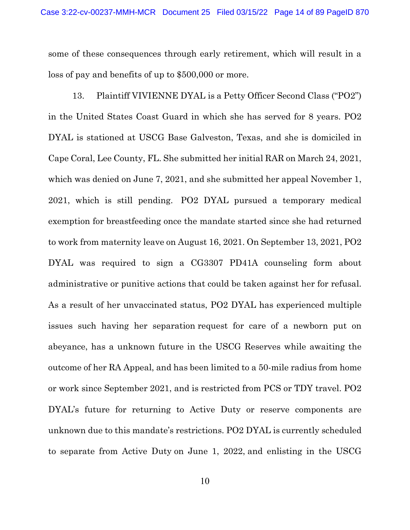some of these consequences through early retirement, which will result in a loss of pay and benefits of up to \$500,000 or more.

13. Plaintiff VIVIENNE DYAL is a Petty Officer Second Class ("PO2") in the United States Coast Guard in which she has served for 8 years. PO2 DYAL is stationed at USCG Base Galveston, Texas, and she is domiciled in Cape Coral, Lee County, FL. She submitted her initial RAR on March 24, 2021, which was denied on June 7, 2021, and she submitted her appeal November 1, 2021, which is still pending. PO2 DYAL pursued a temporary medical exemption for breastfeeding once the mandate started since she had returned to work from maternity leave on August 16, 2021. On September 13, 2021, PO2 DYAL was required to sign a CG3307 PD41A counseling form about administrative or punitive actions that could be taken against her for refusal. As a result of her unvaccinated status, PO2 DYAL has experienced multiple issues such having her separation request for care of a newborn put on abeyance, has a unknown future in the USCG Reserves while awaiting the outcome of her RA Appeal, and has been limited to a 50-mile radius from home or work since September 2021, and is restricted from PCS or TDY travel. PO2 DYAL's future for returning to Active Duty or reserve components are unknown due to this mandate's restrictions. PO2 DYAL is currently scheduled to separate from Active Duty on June 1, 2022, and enlisting in the USCG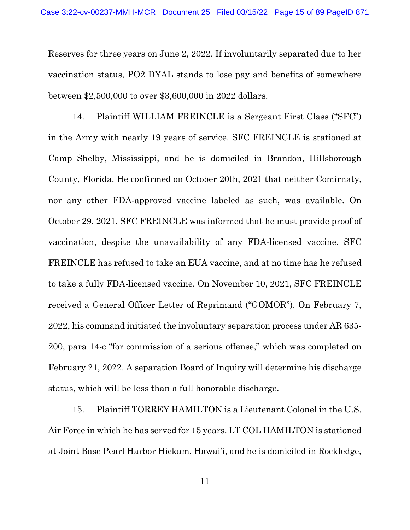Reserves for three years on June 2, 2022. If involuntarily separated due to her vaccination status, PO2 DYAL stands to lose pay and benefits of somewhere between \$2,500,000 to over \$3,600,000 in 2022 dollars.

14. Plaintiff WILLIAM FREINCLE is a Sergeant First Class ("SFC") in the Army with nearly 19 years of service. SFC FREINCLE is stationed at Camp Shelby, Mississippi, and he is domiciled in Brandon, Hillsborough County, Florida. He confirmed on October 20th, 2021 that neither Comirnaty, nor any other FDA-approved vaccine labeled as such, was available. On October 29, 2021, SFC FREINCLE was informed that he must provide proof of vaccination, despite the unavailability of any FDA-licensed vaccine. SFC FREINCLE has refused to take an EUA vaccine, and at no time has he refused to take a fully FDA-licensed vaccine. On November 10, 2021, SFC FREINCLE received a General Officer Letter of Reprimand ("GOMOR"). On February 7, 2022, his command initiated the involuntary separation process under AR 635- 200, para 14-c "for commission of a serious offense," which was completed on February 21, 2022. A separation Board of Inquiry will determine his discharge status, which will be less than a full honorable discharge.

15. Plaintiff TORREY HAMILTON is a Lieutenant Colonel in the U.S. Air Force in which he has served for 15 years. LT COL HAMILTON is stationed at Joint Base Pearl Harbor Hickam, Hawai'i, and he is domiciled in Rockledge,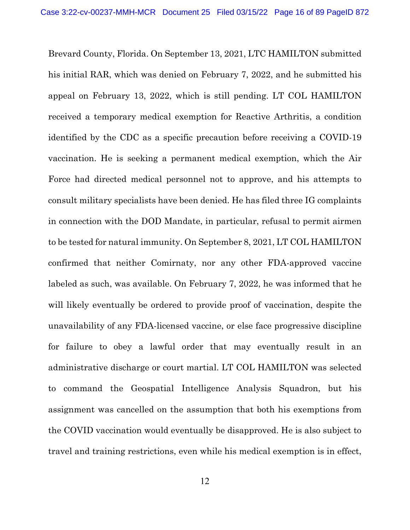Brevard County, Florida. On September 13, 2021, LTC HAMILTON submitted his initial RAR, which was denied on February 7, 2022, and he submitted his appeal on February 13, 2022, which is still pending. LT COL HAMILTON received a temporary medical exemption for Reactive Arthritis, a condition identified by the CDC as a specific precaution before receiving a COVID-19 vaccination. He is seeking a permanent medical exemption, which the Air Force had directed medical personnel not to approve, and his attempts to consult military specialists have been denied. He has filed three IG complaints in connection with the DOD Mandate, in particular, refusal to permit airmen to be tested for natural immunity. On September 8, 2021, LT COL HAMILTON confirmed that neither Comirnaty, nor any other FDA-approved vaccine labeled as such, was available. On February 7, 2022, he was informed that he will likely eventually be ordered to provide proof of vaccination, despite the unavailability of any FDA-licensed vaccine, or else face progressive discipline for failure to obey a lawful order that may eventually result in an administrative discharge or court martial. LT COL HAMILTON was selected to command the Geospatial Intelligence Analysis Squadron, but his assignment was cancelled on the assumption that both his exemptions from the COVID vaccination would eventually be disapproved. He is also subject to travel and training restrictions, even while his medical exemption is in effect,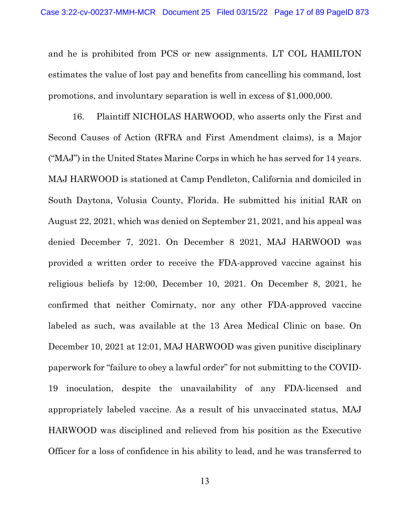and he is prohibited from PCS or new assignments. LT COL HAMILTON estimates the value of lost pay and benefits from cancelling his command, lost promotions, and involuntary separation is well in excess of \$1,000,000.

16. Plaintiff NICHOLAS HARWOOD, who asserts only the First and Second Causes of Action (RFRA and First Amendment claims), is a Major ("MAJ") in the United States Marine Corps in which he has served for 14 years. MAJ HARWOOD is stationed at Camp Pendleton, California and domiciled in South Daytona, Volusia County, Florida. He submitted his initial RAR on August 22, 2021, which was denied on September 21, 2021, and his appeal was denied December 7, 2021. On December 8 2021, MAJ HARWOOD was provided a written order to receive the FDA-approved vaccine against his religious beliefs by 12:00, December 10, 2021. On December 8, 2021, he confirmed that neither Comirnaty, nor any other FDA-approved vaccine labeled as such, was available at the 13 Area Medical Clinic on base. On December 10, 2021 at 12:01, MAJ HARWOOD was given punitive disciplinary paperwork for "failure to obey a lawful order" for not submitting to the COVID-19 inoculation, despite the unavailability of any FDA-licensed and appropriately labeled vaccine. As a result of his unvaccinated status, MAJ HARWOOD was disciplined and relieved from his position as the Executive Officer for a loss of confidence in his ability to lead, and he was transferred to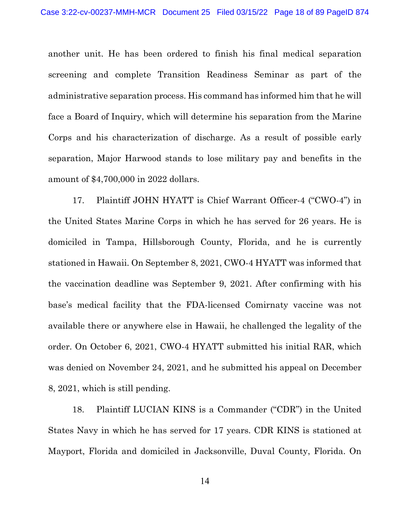another unit. He has been ordered to finish his final medical separation screening and complete Transition Readiness Seminar as part of the administrative separation process. His command has informed him that he will face a Board of Inquiry, which will determine his separation from the Marine Corps and his characterization of discharge. As a result of possible early separation, Major Harwood stands to lose military pay and benefits in the amount of \$4,700,000 in 2022 dollars.

17. Plaintiff JOHN HYATT is Chief Warrant Officer-4 ("CWO-4") in the United States Marine Corps in which he has served for 26 years. He is domiciled in Tampa, Hillsborough County, Florida, and he is currently stationed in Hawaii. On September 8, 2021, CWO-4 HYATT was informed that the vaccination deadline was September 9, 2021. After confirming with his base's medical facility that the FDA-licensed Comirnaty vaccine was not available there or anywhere else in Hawaii, he challenged the legality of the order. On October 6, 2021, CWO-4 HYATT submitted his initial RAR, which was denied on November 24, 2021, and he submitted his appeal on December 8, 2021, which is still pending.

18. Plaintiff LUCIAN KINS is a Commander ("CDR") in the United States Navy in which he has served for 17 years. CDR KINS is stationed at Mayport, Florida and domiciled in Jacksonville, Duval County, Florida. On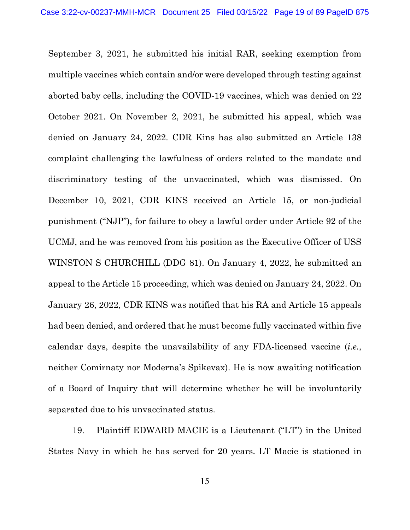September 3, 2021, he submitted his initial RAR, seeking exemption from multiple vaccines which contain and/or were developed through testing against aborted baby cells, including the COVID-19 vaccines, which was denied on 22 October 2021. On November 2, 2021, he submitted his appeal, which was denied on January 24, 2022. CDR Kins has also submitted an Article 138 complaint challenging the lawfulness of orders related to the mandate and discriminatory testing of the unvaccinated, which was dismissed. On December 10, 2021, CDR KINS received an Article 15, or non-judicial punishment ("NJP"), for failure to obey a lawful order under Article 92 of the UCMJ, and he was removed from his position as the Executive Officer of USS WINSTON S CHURCHILL (DDG 81). On January 4, 2022, he submitted an appeal to the Article 15 proceeding, which was denied on January 24, 2022. On January 26, 2022, CDR KINS was notified that his RA and Article 15 appeals had been denied, and ordered that he must become fully vaccinated within five calendar days, despite the unavailability of any FDA-licensed vaccine (*i.e.*, neither Comirnaty nor Moderna's Spikevax). He is now awaiting notification of a Board of Inquiry that will determine whether he will be involuntarily separated due to his unvaccinated status.

19. Plaintiff EDWARD MACIE is a Lieutenant ("LT") in the United States Navy in which he has served for 20 years. LT Macie is stationed in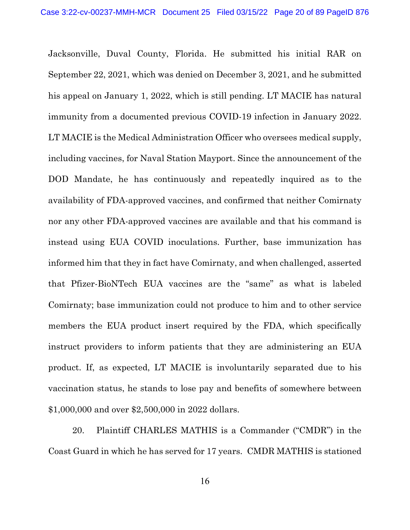Jacksonville, Duval County, Florida. He submitted his initial RAR on September 22, 2021, which was denied on December 3, 2021, and he submitted his appeal on January 1, 2022, which is still pending. LT MACIE has natural immunity from a documented previous COVID-19 infection in January 2022. LT MACIE is the Medical Administration Officer who oversees medical supply, including vaccines, for Naval Station Mayport. Since the announcement of the DOD Mandate, he has continuously and repeatedly inquired as to the availability of FDA-approved vaccines, and confirmed that neither Comirnaty nor any other FDA-approved vaccines are available and that his command is instead using EUA COVID inoculations. Further, base immunization has informed him that they in fact have Comirnaty, and when challenged, asserted that Pfizer-BioNTech EUA vaccines are the "same" as what is labeled Comirnaty; base immunization could not produce to him and to other service members the EUA product insert required by the FDA, which specifically instruct providers to inform patients that they are administering an EUA product. If, as expected, LT MACIE is involuntarily separated due to his vaccination status, he stands to lose pay and benefits of somewhere between \$1,000,000 and over \$2,500,000 in 2022 dollars.

20. Plaintiff CHARLES MATHIS is a Commander ("CMDR") in the Coast Guard in which he has served for 17 years. CMDR MATHIS is stationed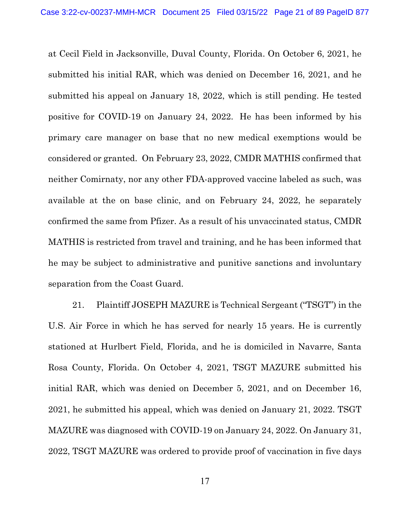at Cecil Field in Jacksonville, Duval County, Florida. On October 6, 2021, he submitted his initial RAR, which was denied on December 16, 2021, and he submitted his appeal on January 18, 2022, which is still pending. He tested positive for COVID-19 on January 24, 2022. He has been informed by his primary care manager on base that no new medical exemptions would be considered or granted. On February 23, 2022, CMDR MATHIS confirmed that neither Comirnaty, nor any other FDA-approved vaccine labeled as such, was available at the on base clinic, and on February 24, 2022, he separately confirmed the same from Pfizer. As a result of his unvaccinated status, CMDR MATHIS is restricted from travel and training, and he has been informed that he may be subject to administrative and punitive sanctions and involuntary separation from the Coast Guard.

21. Plaintiff JOSEPH MAZURE is Technical Sergeant ("TSGT") in the U.S. Air Force in which he has served for nearly 15 years. He is currently stationed at Hurlbert Field, Florida, and he is domiciled in Navarre, Santa Rosa County, Florida. On October 4, 2021, TSGT MAZURE submitted his initial RAR, which was denied on December 5, 2021, and on December 16, 2021, he submitted his appeal, which was denied on January 21, 2022. TSGT MAZURE was diagnosed with COVID-19 on January 24, 2022. On January 31, 2022, TSGT MAZURE was ordered to provide proof of vaccination in five days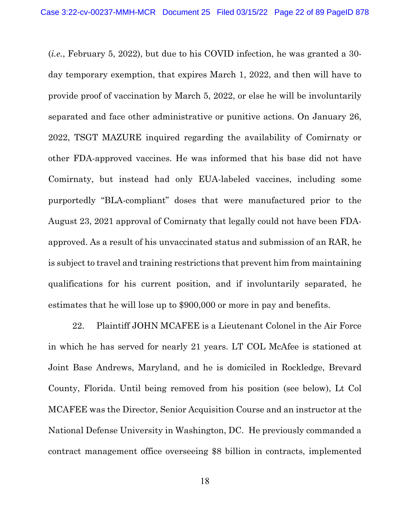(*i.e.*, February 5, 2022), but due to his COVID infection, he was granted a 30 day temporary exemption, that expires March 1, 2022, and then will have to provide proof of vaccination by March 5, 2022, or else he will be involuntarily separated and face other administrative or punitive actions. On January 26, 2022, TSGT MAZURE inquired regarding the availability of Comirnaty or other FDA-approved vaccines. He was informed that his base did not have Comirnaty, but instead had only EUA-labeled vaccines, including some purportedly "BLA-compliant" doses that were manufactured prior to the August 23, 2021 approval of Comirnaty that legally could not have been FDAapproved. As a result of his unvaccinated status and submission of an RAR, he is subject to travel and training restrictions that prevent him from maintaining qualifications for his current position, and if involuntarily separated, he estimates that he will lose up to \$900,000 or more in pay and benefits.

22. Plaintiff JOHN MCAFEE is a Lieutenant Colonel in the Air Force in which he has served for nearly 21 years. LT COL McAfee is stationed at Joint Base Andrews, Maryland, and he is domiciled in Rockledge, Brevard County, Florida. Until being removed from his position (see below), Lt Col MCAFEE was the Director, Senior Acquisition Course and an instructor at the National Defense University in Washington, DC. He previously commanded a contract management office overseeing \$8 billion in contracts, implemented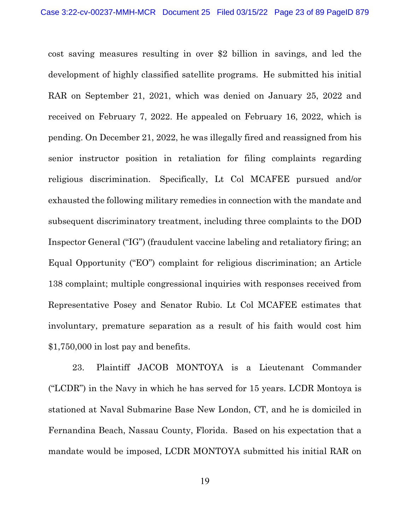cost saving measures resulting in over \$2 billion in savings, and led the development of highly classified satellite programs. He submitted his initial RAR on September 21, 2021, which was denied on January 25, 2022 and received on February 7, 2022. He appealed on February 16, 2022, which is pending. On December 21, 2022, he was illegally fired and reassigned from his senior instructor position in retaliation for filing complaints regarding religious discrimination. Specifically, Lt Col MCAFEE pursued and/or exhausted the following military remedies in connection with the mandate and subsequent discriminatory treatment, including three complaints to the DOD Inspector General ("IG") (fraudulent vaccine labeling and retaliatory firing; an Equal Opportunity ("EO") complaint for religious discrimination; an Article 138 complaint; multiple congressional inquiries with responses received from Representative Posey and Senator Rubio. Lt Col MCAFEE estimates that involuntary, premature separation as a result of his faith would cost him \$1,750,000 in lost pay and benefits.

23. Plaintiff JACOB MONTOYA is a Lieutenant Commander ("LCDR") in the Navy in which he has served for 15 years. LCDR Montoya is stationed at Naval Submarine Base New London, CT, and he is domiciled in Fernandina Beach, Nassau County, Florida. Based on his expectation that a mandate would be imposed, LCDR MONTOYA submitted his initial RAR on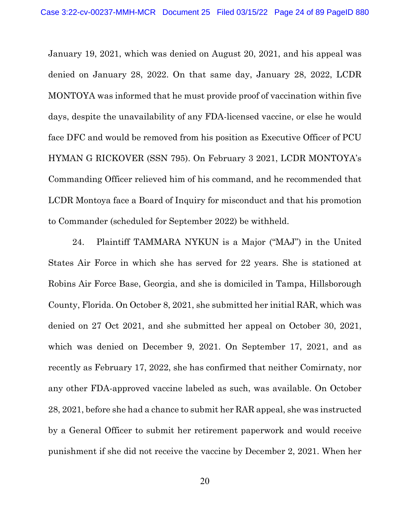January 19, 2021, which was denied on August 20, 2021, and his appeal was denied on January 28, 2022. On that same day, January 28, 2022, LCDR MONTOYA was informed that he must provide proof of vaccination within five days, despite the unavailability of any FDA-licensed vaccine, or else he would face DFC and would be removed from his position as Executive Officer of PCU HYMAN G RICKOVER (SSN 795). On February 3 2021, LCDR MONTOYA's Commanding Officer relieved him of his command, and he recommended that LCDR Montoya face a Board of Inquiry for misconduct and that his promotion to Commander (scheduled for September 2022) be withheld.

24. Plaintiff TAMMARA NYKUN is a Major ("MAJ") in the United States Air Force in which she has served for 22 years. She is stationed at Robins Air Force Base, Georgia, and she is domiciled in Tampa, Hillsborough County, Florida. On October 8, 2021, she submitted her initial RAR, which was denied on 27 Oct 2021, and she submitted her appeal on October 30, 2021, which was denied on December 9, 2021. On September 17, 2021, and as recently as February 17, 2022, she has confirmed that neither Comirnaty, nor any other FDA-approved vaccine labeled as such, was available. On October 28, 2021, before she had a chance to submit her RAR appeal, she was instructed by a General Officer to submit her retirement paperwork and would receive punishment if she did not receive the vaccine by December 2, 2021. When her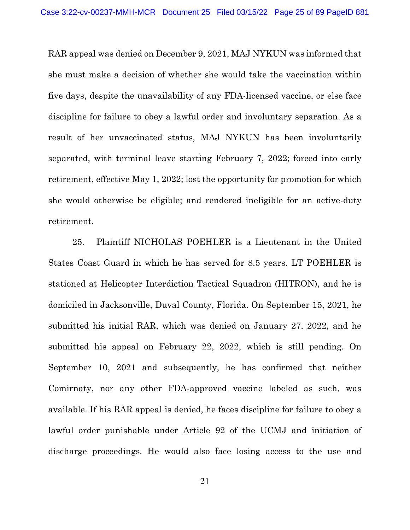RAR appeal was denied on December 9, 2021, MAJ NYKUN was informed that she must make a decision of whether she would take the vaccination within five days, despite the unavailability of any FDA-licensed vaccine, or else face discipline for failure to obey a lawful order and involuntary separation. As a result of her unvaccinated status, MAJ NYKUN has been involuntarily separated, with terminal leave starting February 7, 2022; forced into early retirement, effective May 1, 2022; lost the opportunity for promotion for which she would otherwise be eligible; and rendered ineligible for an active-duty retirement.

25. Plaintiff NICHOLAS POEHLER is a Lieutenant in the United States Coast Guard in which he has served for 8.5 years. LT POEHLER is stationed at Helicopter Interdiction Tactical Squadron (HITRON), and he is domiciled in Jacksonville, Duval County, Florida. On September 15, 2021, he submitted his initial RAR, which was denied on January 27, 2022, and he submitted his appeal on February 22, 2022, which is still pending. On September 10, 2021 and subsequently, he has confirmed that neither Comirnaty, nor any other FDA-approved vaccine labeled as such, was available. If his RAR appeal is denied, he faces discipline for failure to obey a lawful order punishable under Article 92 of the UCMJ and initiation of discharge proceedings. He would also face losing access to the use and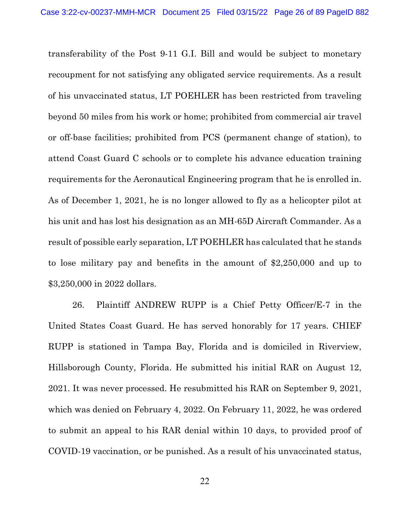transferability of the Post 9-11 G.I. Bill and would be subject to monetary recoupment for not satisfying any obligated service requirements. As a result of his unvaccinated status, LT POEHLER has been restricted from traveling beyond 50 miles from his work or home; prohibited from commercial air travel or off-base facilities; prohibited from PCS (permanent change of station), to attend Coast Guard C schools or to complete his advance education training requirements for the Aeronautical Engineering program that he is enrolled in. As of December 1, 2021, he is no longer allowed to fly as a helicopter pilot at his unit and has lost his designation as an MH-65D Aircraft Commander. As a result of possible early separation, LT POEHLER has calculated that he stands to lose military pay and benefits in the amount of \$2,250,000 and up to \$3,250,000 in 2022 dollars.

26. Plaintiff ANDREW RUPP is a Chief Petty Officer/E-7 in the United States Coast Guard. He has served honorably for 17 years. CHIEF RUPP is stationed in Tampa Bay, Florida and is domiciled in Riverview, Hillsborough County, Florida. He submitted his initial RAR on August 12, 2021. It was never processed. He resubmitted his RAR on September 9, 2021, which was denied on February 4, 2022. On February 11, 2022, he was ordered to submit an appeal to his RAR denial within 10 days, to provided proof of COVID-19 vaccination, or be punished. As a result of his unvaccinated status,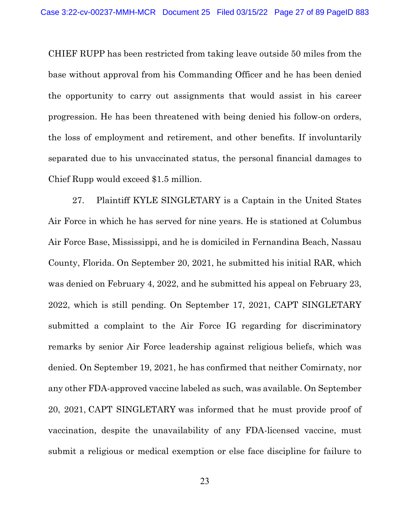CHIEF RUPP has been restricted from taking leave outside 50 miles from the base without approval from his Commanding Officer and he has been denied the opportunity to carry out assignments that would assist in his career progression. He has been threatened with being denied his follow-on orders, the loss of employment and retirement, and other benefits. If involuntarily separated due to his unvaccinated status, the personal financial damages to Chief Rupp would exceed \$1.5 million.

27. Plaintiff KYLE SINGLETARY is a Captain in the United States Air Force in which he has served for nine years. He is stationed at Columbus Air Force Base, Mississippi, and he is domiciled in Fernandina Beach, Nassau County, Florida. On September 20, 2021, he submitted his initial RAR, which was denied on February 4, 2022, and he submitted his appeal on February 23, 2022, which is still pending. On September 17, 2021, CAPT SINGLETARY submitted a complaint to the Air Force IG regarding for discriminatory remarks by senior Air Force leadership against religious beliefs, which was denied. On September 19, 2021, he has confirmed that neither Comirnaty, nor any other FDA-approved vaccine labeled as such, was available. On September 20, 2021, CAPT SINGLETARY was informed that he must provide proof of vaccination, despite the unavailability of any FDA-licensed vaccine, must submit a religious or medical exemption or else face discipline for failure to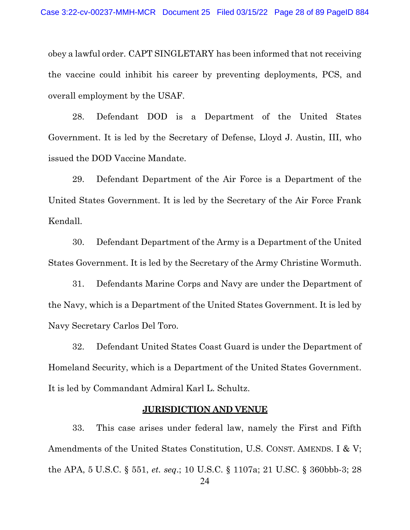obey a lawful order. CAPT SINGLETARY has been informed that not receiving the vaccine could inhibit his career by preventing deployments, PCS, and overall employment by the USAF.

28. Defendant DOD is a Department of the United States Government. It is led by the Secretary of Defense, Lloyd J. Austin, III, who issued the DOD Vaccine Mandate.

29. Defendant Department of the Air Force is a Department of the United States Government. It is led by the Secretary of the Air Force Frank Kendall.

30. Defendant Department of the Army is a Department of the United States Government. It is led by the Secretary of the Army Christine Wormuth.

31. Defendants Marine Corps and Navy are under the Department of the Navy, which is a Department of the United States Government. It is led by Navy Secretary Carlos Del Toro.

32. Defendant United States Coast Guard is under the Department of Homeland Security, which is a Department of the United States Government. It is led by Commandant Admiral Karl L. Schultz.

#### **JURISDICTION AND VENUE**

<span id="page-27-0"></span>33. This case arises under federal law, namely the First and Fifth Amendments of the United States Constitution, U.S. CONST. AMENDS. I & V; the APA, 5 U.S.C. § 551, *et. seq*.; 10 U.S.C. § 1107a; 21 U.SC. § 360bbb-3; 28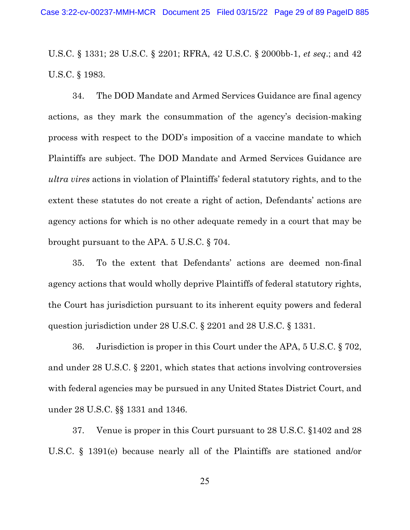U.S.C. § 1331; 28 U.S.C. § 2201; RFRA, 42 U.S.C. § 2000bb-1, *et seq*.; and 42 U.S.C. § 1983.

34. The DOD Mandate and Armed Services Guidance are final agency actions, as they mark the consummation of the agency's decision-making process with respect to the DOD's imposition of a vaccine mandate to which Plaintiffs are subject. The DOD Mandate and Armed Services Guidance are *ultra vires* actions in violation of Plaintiffs' federal statutory rights, and to the extent these statutes do not create a right of action, Defendants' actions are agency actions for which is no other adequate remedy in a court that may be brought pursuant to the APA. 5 U.S.C. § 704.

35. To the extent that Defendants' actions are deemed non-final agency actions that would wholly deprive Plaintiffs of federal statutory rights, the Court has jurisdiction pursuant to its inherent equity powers and federal question jurisdiction under 28 U.S.C. § 2201 and 28 U.S.C. § 1331.

36. Jurisdiction is proper in this Court under the APA, 5 U.S.C. § 702, and under 28 U.S.C. § 2201, which states that actions involving controversies with federal agencies may be pursued in any United States District Court, and under 28 U.S.C. §§ 1331 and 1346.

37. Venue is proper in this Court pursuant to 28 U.S.C. §1402 and 28 U.S.C. § 1391(e) because nearly all of the Plaintiffs are stationed and/or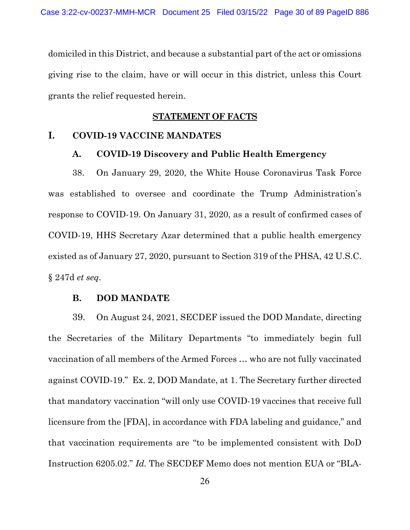domiciled in this District, and because a substantial part of the act or omissions giving rise to the claim, have or will occur in this district, unless this Court grants the relief requested herein.

#### **STATEMENT OF FACTS**

#### <span id="page-29-2"></span><span id="page-29-1"></span><span id="page-29-0"></span>**I. COVID-19 VACCINE MANDATES**

#### **A. COVID-19 Discovery and Public Health Emergency**

38. On January 29, 2020, the White House Coronavirus Task Force was established to oversee and coordinate the Trump Administration's response to COVID-19. On January 31, 2020, as a result of confirmed cases of COVID-19, HHS Secretary Azar determined that a public health emergency existed as of January 27, 2020, pursuant to Section 319 of the PHSA, 42 U.S.C. § 247d *et seq*.

#### **B. DOD MANDATE**

<span id="page-29-3"></span>39. On August 24, 2021, SECDEF issued the DOD Mandate, directing the Secretaries of the Military Departments "to immediately begin full vaccination of all members of the Armed Forces … who are not fully vaccinated against COVID-19." Ex. 2, DOD Mandate, at 1. The Secretary further directed that mandatory vaccination "will only use COVID-19 vaccines that receive full licensure from the [FDA], in accordance with FDA labeling and guidance," and that vaccination requirements are "to be implemented consistent with DoD Instruction 6205.02." *Id.* The SECDEF Memo does not mention EUA or "BLA-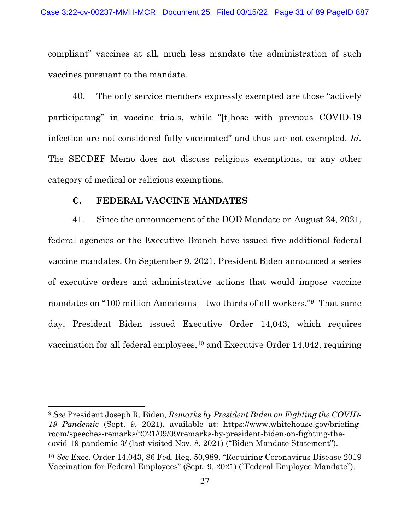compliant" vaccines at all, much less mandate the administration of such vaccines pursuant to the mandate.

40. The only service members expressly exempted are those "actively participating" in vaccine trials, while "[t]hose with previous COVID-19 infection are not considered fully vaccinated" and thus are not exempted. *Id.* The SECDEF Memo does not discuss religious exemptions, or any other category of medical or religious exemptions.

#### **C. FEDERAL VACCINE MANDATES**

<span id="page-30-0"></span>41. Since the announcement of the DOD Mandate on August 24, 2021, federal agencies or the Executive Branch have issued five additional federal vaccine mandates. On September 9, 2021, President Biden announced a series of executive orders and administrative actions that would impose vaccine mandates on "100 million Americans – two thirds of all workers."[9](#page-30-1) That same day, President Biden issued Executive Order 14,043, which requires vaccination for all federal employees,  $10$  and Executive Order 14,042, requiring

<span id="page-30-1"></span><sup>9</sup> *See* President Joseph R. Biden, *Remarks by President Biden on Fighting the COVID-19 Pandemic* (Sept. 9, 2021), available at: https://www.whitehouse.gov/briefingroom/speeches-remarks/2021/09/09/remarks-by-president-biden-on-fighting-thecovid-19-pandemic-3/ (last visited Nov. 8, 2021) ("Biden Mandate Statement").

<span id="page-30-2"></span><sup>10</sup> *See* Exec. Order 14,043, 86 Fed. Reg. 50,989, "Requiring Coronavirus Disease 2019 Vaccination for Federal Employees" (Sept. 9, 2021) ("Federal Employee Mandate").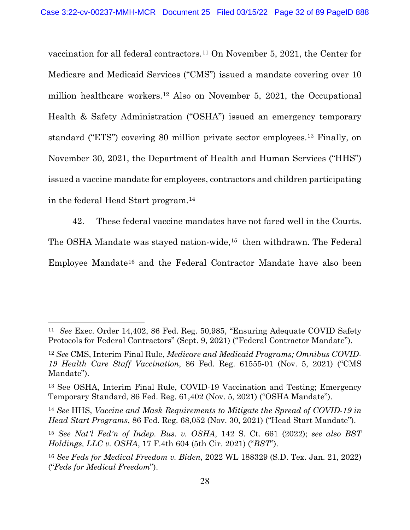vaccination for all federal contractors.[11](#page-31-0) On November 5, 2021, the Center for Medicare and Medicaid Services ("CMS") issued a mandate covering over 10 million healthcare workers.[12](#page-31-1) Also on November 5, 2021, the Occupational Health & Safety Administration ("OSHA") issued an emergency temporary standard ("ETS") covering 80 million private sector employees.[13](#page-31-2) Finally, on November 30, 2021, the Department of Health and Human Services ("HHS") issued a vaccine mandate for employees, contractors and children participating in the federal Head Start program.[14](#page-31-3)

42. These federal vaccine mandates have not fared well in the Courts.

The OSHA Mandate was stayed nation-wide,<sup>[15](#page-31-4)</sup> then withdrawn. The Federal

Employee Mandate[16](#page-31-5) and the Federal Contractor Mandate have also been

<span id="page-31-0"></span><sup>11</sup> *See* Exec. Order 14,402, 86 Fed. Reg. 50,985, "Ensuring Adequate COVID Safety Protocols for Federal Contractors" (Sept. 9, 2021) ("Federal Contractor Mandate").

<span id="page-31-1"></span><sup>12</sup> *See* CMS, Interim Final Rule, *Medicare and Medicaid Programs; Omnibus COVID-19 Health Care Staff Vaccination*, 86 Fed. Reg. 61555-01 (Nov. 5, 2021) ("CMS Mandate").

<span id="page-31-2"></span><sup>13</sup> See OSHA, Interim Final Rule, COVID-19 Vaccination and Testing; Emergency Temporary Standard, 86 Fed. Reg. 61,402 (Nov. 5, 2021) ("OSHA Mandate").

<span id="page-31-3"></span><sup>14</sup> *See* HHS, *Vaccine and Mask Requirements to Mitigate the Spread of COVID-19 in Head Start Programs*, 86 Fed. Reg. 68,052 (Nov. 30, 2021) ("Head Start Mandate").

<span id="page-31-4"></span><sup>15</sup> *See Nat'l Fed'n of Indep. Bus. v. OSHA*, 142 S. Ct. 661 (2022); *see also BST Holdings, LLC v. OSHA*, 17 F.4th 604 (5th Cir. 2021) ("*BST*").

<span id="page-31-5"></span><sup>16</sup> *See Feds for Medical Freedom v. Biden*, 2022 WL 188329 (S.D. Tex. Jan. 21, 2022) ("*Feds for Medical Freedom*").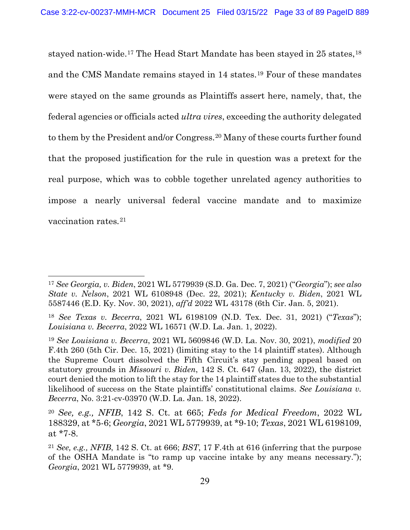stayed nation-wide.[17](#page-32-0) The Head Start Mandate has been stayed in 25 states,[18](#page-32-1) and the CMS Mandate remains stayed in 14 states.[19](#page-32-2) Four of these mandates were stayed on the same grounds as Plaintiffs assert here, namely, that, the federal agencies or officials acted *ultra vires*, exceeding the authority delegated to them by the President and/or Congress.[20](#page-32-3) Many of these courts further found that the proposed justification for the rule in question was a pretext for the real purpose, which was to cobble together unrelated agency authorities to impose a nearly universal federal vaccine mandate and to maximize vaccination rates*.*[21](#page-32-4)

<span id="page-32-0"></span><sup>17</sup> *See Georgia, v. Biden*, 2021 WL 5779939 (S.D. Ga. Dec. 7, 2021) ("*Georgia*"); *see also State v. Nelson*, 2021 WL 6108948 (Dec. 22, 2021); *Kentucky v. Biden*, 2021 WL 5587446 (E.D. Ky. Nov. 30, 2021), *aff'd* 2022 WL 43178 (6th Cir. Jan. 5, 2021).

<span id="page-32-1"></span><sup>18</sup> *See Texas v. Becerra*, 2021 WL 6198109 (N.D. Tex. Dec. 31, 2021) ("*Texas*"); *Louisiana v. Becerra*, 2022 WL 16571 (W.D. La. Jan. 1, 2022).

<span id="page-32-2"></span><sup>19</sup> *See Louisiana v. Becerra*, 2021 WL 5609846 (W.D. La. Nov. 30, 2021), *modified* 20 F.4th 260 (5th Cir. Dec. 15, 2021) (limiting stay to the 14 plaintiff states). Although the Supreme Court dissolved the Fifth Circuit's stay pending appeal based on statutory grounds in *Missouri v. Biden*, 142 S. Ct. 647 (Jan. 13, 2022), the district court denied the motion to lift the stay for the 14 plaintiff states due to the substantial likelihood of success on the State plaintiffs' constitutional claims. *See Louisiana v. Becerra*, No. 3:21-cv-03970 (W.D. La. Jan. 18, 2022).

<span id="page-32-3"></span><sup>20</sup> *See, e.g., NFIB*, 142 S. Ct. at 665; *Feds for Medical Freedom*, 2022 WL 188329, at \*5-6; *Georgia*, 2021 WL 5779939, at \*9-10; *Texas*, 2021 WL 6198109, at \*7-8.

<span id="page-32-4"></span><sup>21</sup> *See, e.g., NFIB*, 142 S. Ct. at 666; *BST*, 17 F.4th at 616 (inferring that the purpose of the OSHA Mandate is "to ramp up vaccine intake by any means necessary."); *Georgia*, 2021 WL 5779939, at \*9.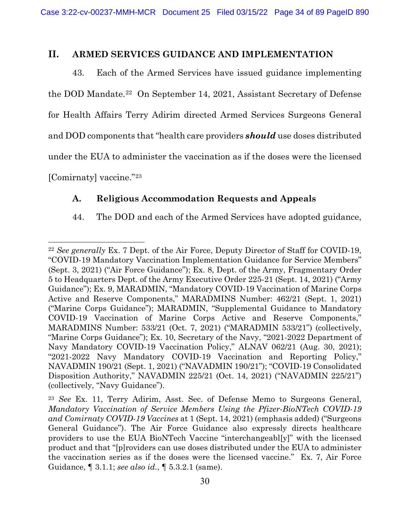## <span id="page-33-0"></span>**II. ARMED SERVICES GUIDANCE AND IMPLEMENTATION**

43. Each of the Armed Services have issued guidance implementing the DOD Mandate.[22](#page-33-2) On September 14, 2021, Assistant Secretary of Defense for Health Affairs Terry Adirim directed Armed Services Surgeons General and DOD components that "health care providers *should* use doses distributed under the EUA to administer the vaccination as if the doses were the licensed [Comirnaty] vaccine."[23](#page-33-3)

## <span id="page-33-1"></span>**A. Religious Accommodation Requests and Appeals**

## 44. The DOD and each of the Armed Services have adopted guidance,

<span id="page-33-2"></span><sup>22</sup> *See generally* Ex. 7 Dept. of the Air Force, Deputy Director of Staff for COVID-19, "COVID-19 Mandatory Vaccination Implementation Guidance for Service Members" (Sept. 3, 2021) ("Air Force Guidance"); Ex. 8, Dept. of the Army, Fragmentary Order 5 to Headquarters Dept. of the Army Executive Order 225-21 (Sept. 14, 2021) ("Army Guidance"); Ex. 9, MARADMIN, "Mandatory COVID-19 Vaccination of Marine Corps Active and Reserve Components," MARADMINS Number: 462/21 (Sept. 1, 2021) ("Marine Corps Guidance"); MARADMIN, "Supplemental Guidance to Mandatory COVID-19 Vaccination of Marine Corps Active and Reserve Components," MARADMINS Number: 533/21 (Oct. 7, 2021) ("MARADMIN 533/21") (collectively, "Marine Corps Guidance"); Ex. 10, Secretary of the Navy, "2021-2022 Department of Navy Mandatory COVID-19 Vaccination Policy," ALNAV 062/21 (Aug. 30, 2021); "2021-2022 Navy Mandatory COVID-19 Vaccination and Reporting Policy," NAVADMIN 190/21 (Sept. 1, 2021) ("NAVADMIN 190/21"); "COVID-19 Consolidated Disposition Authority," NAVADMIN 225/21 (Oct. 14, 2021) ("NAVADMIN 225/21") (collectively, "Navy Guidance").

<span id="page-33-3"></span><sup>23</sup> *See* Ex. 11, Terry Adirim, Asst. Sec. of Defense Memo to Surgeons General, *Mandatory Vaccination of Service Members Using the Pfizer-BioNTech COVID-19 and Comirnaty COVID-19 Vaccines* at 1 (Sept. 14, 2021) (emphasis added) ("Surgeons General Guidance"). The Air Force Guidance also expressly directs healthcare providers to use the EUA BioNTech Vaccine "interchangeabl[y]" with the licensed product and that "[p]roviders can use doses distributed under the EUA to administer the vaccination series as if the doses were the licensed vaccine." Ex. 7, Air Force Guidance, ¶ 3.1.1; *see also id.*, ¶ 5.3.2.1 (same).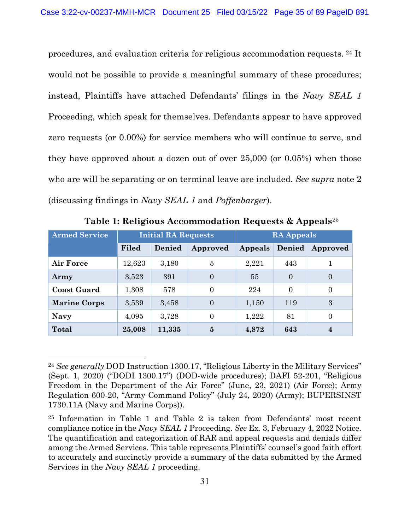procedures, and evaluation criteria for religious accommodation requests. [24](#page-34-0) It would not be possible to provide a meaningful summary of these procedures; instead, Plaintiffs have attached Defendants' filings in the *Navy SEAL 1*  Proceeding, which speak for themselves. Defendants appear to have approved zero requests (or 0.00%) for service members who will continue to serve, and they have approved about a dozen out of over 25,000 (or 0.05%) when those who are will be separating or on terminal leave are included. *See supra* note [2](#page-6-3) (discussing findings in *Navy SEAL 1* and *Poffenbarger*).

| <b>Armed Service</b> | <b>Initial RA Requests</b> |        | <b>RA Appeals</b> |         |          |                  |
|----------------------|----------------------------|--------|-------------------|---------|----------|------------------|
|                      | Filed                      | Denied | Approved          | Appeals | Denied   | Approved         |
| Air Force            | 12,623                     | 3,180  | 5                 | 2,221   | 443      |                  |
| Army                 | 3,523                      | 391    | $\Omega$          | 55      | $\Omega$ | $\Omega$         |
| <b>Coast Guard</b>   | 1,308                      | 578    | $\Omega$          | 224     | $\Omega$ | $\Omega$         |
| <b>Marine Corps</b>  | 3,539                      | 3,458  | $\Omega$          | 1,150   | 119      | 3                |
| <b>Navy</b>          | 4,095                      | 3,728  | $\Omega$          | 1,222   | 81       | $\Omega$         |
| Total                | 25,008                     | 11,335 | $\bf{5}$          | 4,872   | 643      | $\boldsymbol{4}$ |

**Table 1: Religious Accommodation Requests & Appeals**[25](#page-34-1)

<span id="page-34-0"></span><sup>24</sup> *See generally* DOD Instruction 1300.17, "Religious Liberty in the Military Services" (Sept. 1, 2020) ("DODI 1300.17") (DOD-wide procedures); DAFI 52-201, "Religious Freedom in the Department of the Air Force" (June, 23, 2021) (Air Force); Army Regulation 600-20, "Army Command Policy" (July 24, 2020) (Army); BUPERSINST 1730.11A (Navy and Marine Corps)).

<span id="page-34-1"></span><sup>25</sup> Information in Table 1 and Table 2 is taken from Defendants' most recent compliance notice in the *Navy SEAL 1* Proceeding. *See* Ex. 3, February 4, 2022 Notice. The quantification and categorization of RAR and appeal requests and denials differ among the Armed Services. This table represents Plaintiffs' counsel's good faith effort to accurately and succinctly provide a summary of the data submitted by the Armed Services in the *Navy SEAL 1* proceeding.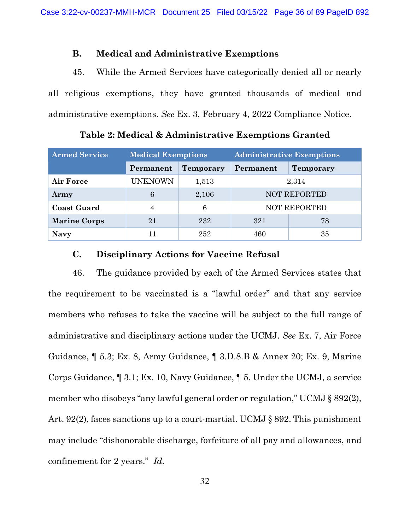#### **B. Medical and Administrative Exemptions**

<span id="page-35-0"></span>45. While the Armed Services have categorically denied all or nearly all religious exemptions, they have granted thousands of medical and administrative exemptions. *See* Ex. 3, February 4, 2022 Compliance Notice.

| <b>Armed Service</b> | <b>Medical Exemptions</b> |           | <b>Administrative Exemptions</b> |  |  |
|----------------------|---------------------------|-----------|----------------------------------|--|--|
|                      | Permanent                 | Temporary | Permanent<br><b>Temporary</b>    |  |  |
| Air Force            | <b>UNKNOWN</b>            | 1,513     | 2,314                            |  |  |
| Army                 | 6                         | 2,106     | <b>NOT REPORTED</b>              |  |  |
| <b>Coast Guard</b>   | 4                         | 6         | <b>NOT REPORTED</b>              |  |  |
| <b>Marine Corps</b>  | 21                        | 232       | 321<br>78                        |  |  |
| <b>Navy</b>          |                           | 252       | 35<br>460                        |  |  |

**Table 2: Medical & Administrative Exemptions Granted**

## **C. Disciplinary Actions for Vaccine Refusal**

<span id="page-35-1"></span>46. The guidance provided by each of the Armed Services states that the requirement to be vaccinated is a "lawful order" and that any service members who refuses to take the vaccine will be subject to the full range of administrative and disciplinary actions under the UCMJ. *See* Ex. 7, Air Force Guidance, ¶ 5.3; Ex. 8, Army Guidance, ¶ 3.D.8.B & Annex 20; Ex. 9, Marine Corps Guidance, ¶ 3.1; Ex. 10, Navy Guidance, ¶ 5. Under the UCMJ, a service member who disobeys "any lawful general order or regulation," UCMJ § 892(2), Art. 92(2), faces sanctions up to a court-martial. UCMJ § 892. This punishment may include "dishonorable discharge, forfeiture of all pay and allowances, and confinement for 2 years." *Id.*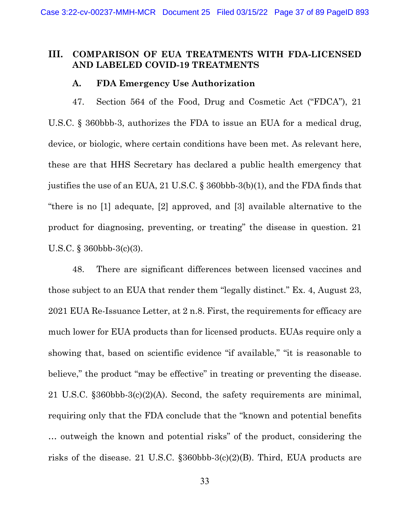## **III. COMPARISON OF EUA TREATMENTS WITH FDA-LICENSED AND LABELED COVID-19 TREATMENTS**

#### **A. FDA Emergency Use Authorization**

47. Section 564 of the Food, Drug and Cosmetic Act ("FDCA"), 21 U.S.C. § 360bbb-3, authorizes the FDA to issue an EUA for a medical drug, device, or biologic, where certain conditions have been met. As relevant here, these are that HHS Secretary has declared a public health emergency that justifies the use of an EUA, 21 U.S.C. § 360bbb-3(b)(1), and the FDA finds that "there is no [1] adequate, [2] approved, and [3] available alternative to the product for diagnosing, preventing, or treating" the disease in question. 21 U.S.C. § 360bbb-3(c)(3).

48. There are significant differences between licensed vaccines and those subject to an EUA that render them "legally distinct." Ex. 4, August 23, 2021 EUA Re-Issuance Letter, at 2 n.8. First, the requirements for efficacy are much lower for EUA products than for licensed products. EUAs require only a showing that, based on scientific evidence "if available," "it is reasonable to believe," the product "may be effective" in treating or preventing the disease. 21 U.S.C. §360bbb-3(c)(2)(A). Second, the safety requirements are minimal, requiring only that the FDA conclude that the "known and potential benefits … outweigh the known and potential risks" of the product, considering the risks of the disease. 21 U.S.C. §360bbb-3(c)(2)(B). Third, EUA products are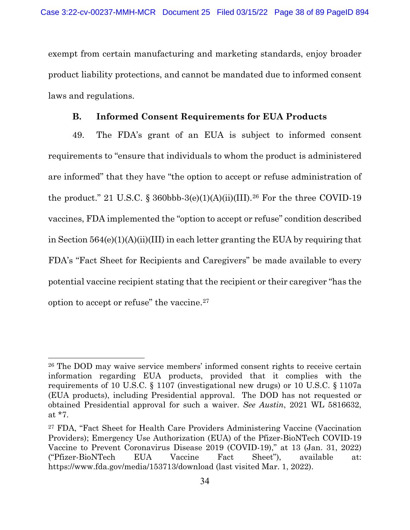exempt from certain manufacturing and marketing standards, enjoy broader product liability protections, and cannot be mandated due to informed consent laws and regulations.

#### **B. Informed Consent Requirements for EUA Products**

49. The FDA's grant of an EUA is subject to informed consent requirements to "ensure that individuals to whom the product is administered are informed" that they have "the option to accept or refuse administration of the product." 21 U.S.C. § 360bbb-3(e)(1)(A)(ii)(III).<sup>[26](#page-37-0)</sup> For the three COVID-19 vaccines, FDA implemented the "option to accept or refuse" condition described in Section 564(e)(1)(A)(ii)(III) in each letter granting the EUA by requiring that FDA's "Fact Sheet for Recipients and Caregivers" be made available to every potential vaccine recipient stating that the recipient or their caregiver "has the option to accept or refuse" the vaccine.[27](#page-37-1)

<span id="page-37-2"></span><span id="page-37-0"></span><sup>26</sup> The DOD may waive service members' informed consent rights to receive certain information regarding EUA products, provided that it complies with the requirements of 10 U.S.C. § 1107 (investigational new drugs) or 10 U.S.C. § 1107a (EUA products), including Presidential approval. The DOD has not requested or obtained Presidential approval for such a waiver. *See Austin*, 2021 WL 5816632, at \*7.

<span id="page-37-1"></span><sup>27</sup> FDA, "Fact Sheet for Health Care Providers Administering Vaccine (Vaccination Providers); Emergency Use Authorization (EUA) of the Pfizer-BioNTech COVID-19 Vaccine to Prevent Coronavirus Disease 2019 (COVID-19)," at 13 (Jan. 31, 2022) ("Pfizer-BioNTech EUA Vaccine Fact Sheet"), available at: https://www.fda.gov/media/153713/download (last visited Mar. 1, 2022).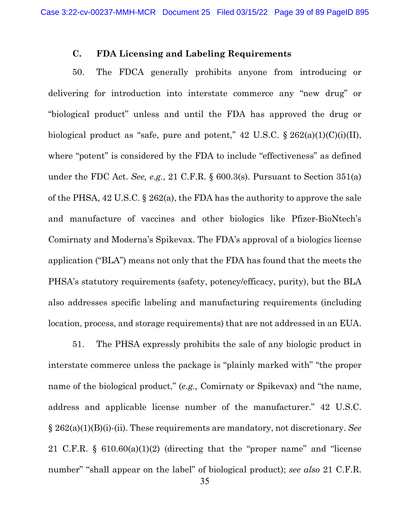#### **C. FDA Licensing and Labeling Requirements**

50. The FDCA generally prohibits anyone from introducing or delivering for introduction into interstate commerce any "new drug" or "biological product" unless and until the FDA has approved the drug or biological product as "safe, pure and potent,"  $42 \text{ U.S.C.}$   $\S 262(a)(1)(C)(i)(II)$ , where "potent" is considered by the FDA to include "effectiveness" as defined under the FDC Act. *See, e.g.*, 21 C.F.R. § 600.3(s). Pursuant to Section 351(a) of the PHSA, 42 U.S.C. § 262(a), the FDA has the authority to approve the sale and manufacture of vaccines and other biologics like Pfizer-BioNtech's Comirnaty and Moderna's Spikevax. The FDA's approval of a biologics license application ("BLA") means not only that the FDA has found that the meets the PHSA's statutory requirements (safety, potency/efficacy, purity), but the BLA also addresses specific labeling and manufacturing requirements (including location, process, and storage requirements) that are not addressed in an EUA.

51. The PHSA expressly prohibits the sale of any biologic product in interstate commerce unless the package is "plainly marked with" "the proper name of the biological product," (*e.g.,* Comirnaty or Spikevax) and "the name, address and applicable license number of the manufacturer." 42 U.S.C. § 262(a)(1)(B)(i)-(ii). These requirements are mandatory, not discretionary. *See*  21 C.F.R. § 610.60(a)(1)(2) (directing that the "proper name" and "license number" "shall appear on the label" of biological product); *see also* 21 C.F.R.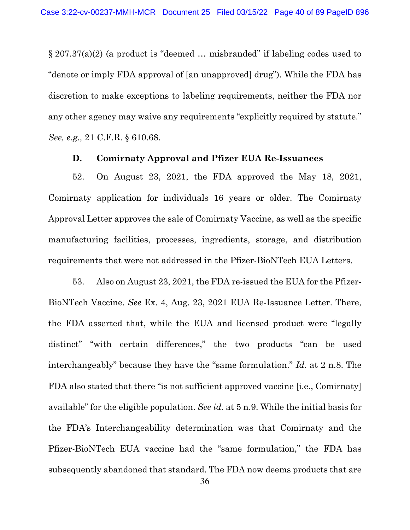§ 207.37(a)(2) (a product is "deemed … misbranded" if labeling codes used to "denote or imply FDA approval of [an unapproved] drug"). While the FDA has discretion to make exceptions to labeling requirements, neither the FDA nor any other agency may waive any requirements "explicitly required by statute." *See, e.g.,* 21 C.F.R. § 610.68.

#### **D. Comirnaty Approval and Pfizer EUA Re-Issuances**

52. On August 23, 2021, the FDA approved the May 18, 2021, Comirnaty application for individuals 16 years or older. The Comirnaty Approval Letter approves the sale of Comirnaty Vaccine, as well as the specific manufacturing facilities, processes, ingredients, storage, and distribution requirements that were not addressed in the Pfizer-BioNTech EUA Letters.

53. Also on August 23, 2021, the FDA re-issued the EUA for the Pfizer-BioNTech Vaccine. *See* Ex. 4, Aug. 23, 2021 EUA Re-Issuance Letter. There, the FDA asserted that, while the EUA and licensed product were "legally distinct" "with certain differences," the two products "can be used interchangeably" because they have the "same formulation." *Id.* at 2 n.8. The FDA also stated that there "is not sufficient approved vaccine [i.e., Comirnaty] available" for the eligible population. *See id.* at 5 n.9. While the initial basis for the FDA's Interchangeability determination was that Comirnaty and the Pfizer-BioNTech EUA vaccine had the "same formulation," the FDA has subsequently abandoned that standard. The FDA now deems products that are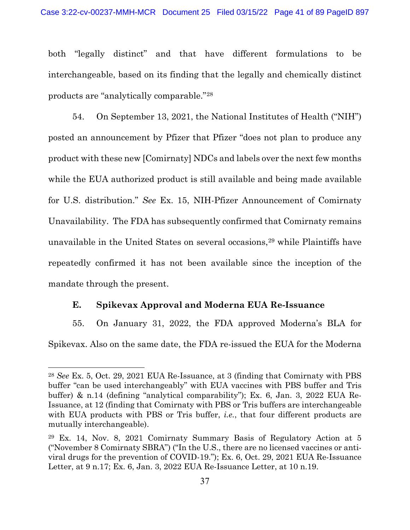both "legally distinct" and that have different formulations to be interchangeable, based on its finding that the legally and chemically distinct products are "analytically comparable."[28](#page-40-0)

54. On September 13, 2021, the National Institutes of Health ("NIH") posted an announcement by Pfizer that Pfizer "does not plan to produce any product with these new [Comirnaty] NDCs and labels over the next few months while the EUA authorized product is still available and being made available for U.S. distribution." *See* Ex. 15, NIH-Pfizer Announcement of Comirnaty Unavailability. The FDA has subsequently confirmed that Comirnaty remains unavailable in the United States on several occasions,<sup>[29](#page-40-1)</sup> while Plaintiffs have repeatedly confirmed it has not been available since the inception of the mandate through the present.

## **E. Spikevax Approval and Moderna EUA Re-Issuance**

55. On January 31, 2022, the FDA approved Moderna's BLA for Spikevax. Also on the same date, the FDA re-issued the EUA for the Moderna

<span id="page-40-0"></span><sup>28</sup> *See* Ex. 5, Oct. 29, 2021 EUA Re-Issuance, at 3 (finding that Comirnaty with PBS buffer "can be used interchangeably" with EUA vaccines with PBS buffer and Tris buffer) & n.14 (defining "analytical comparability"); Ex. 6, Jan. 3, 2022 EUA Re-Issuance, at 12 (finding that Comirnaty with PBS or Tris buffers are interchangeable with EUA products with PBS or Tris buffer, *i.e.*, that four different products are mutually interchangeable).

<span id="page-40-1"></span><sup>29</sup> Ex. 14, Nov. 8, 2021 Comirnaty Summary Basis of Regulatory Action at 5 ("November 8 Comirnaty SBRA") ("In the U.S., there are no licensed vaccines or antiviral drugs for the prevention of COVID-19."); Ex. 6, Oct. 29, 2021 EUA Re-Issuance Letter, at 9 n.17; Ex. 6, Jan. 3, 2022 EUA Re-Issuance Letter, at 10 n.19.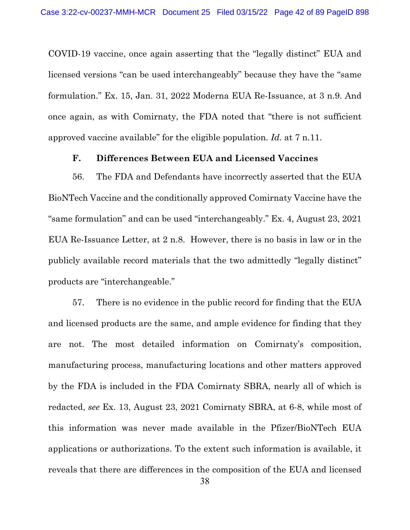COVID-19 vaccine, once again asserting that the "legally distinct" EUA and licensed versions "can be used interchangeably" because they have the "same formulation." Ex. 15, Jan. 31, 2022 Moderna EUA Re-Issuance, at 3 n.9. And once again, as with Comirnaty, the FDA noted that "there is not sufficient approved vaccine available" for the eligible population. *Id.* at 7 n.11.

#### **F. Differences Between EUA and Licensed Vaccines**

56. The FDA and Defendants have incorrectly asserted that the EUA BioNTech Vaccine and the conditionally approved Comirnaty Vaccine have the "same formulation" and can be used "interchangeably." Ex. 4, August 23, 2021 EUA Re-Issuance Letter, at 2 n.8. However, there is no basis in law or in the publicly available record materials that the two admittedly "legally distinct" products are "interchangeable."

57. There is no evidence in the public record for finding that the EUA and licensed products are the same, and ample evidence for finding that they are not. The most detailed information on Comirnaty's composition, manufacturing process, manufacturing locations and other matters approved by the FDA is included in the FDA Comirnaty SBRA, nearly all of which is redacted, *see* Ex. 13, August 23, 2021 Comirnaty SBRA, at 6-8, while most of this information was never made available in the Pfizer/BioNTech EUA applications or authorizations. To the extent such information is available, it reveals that there are differences in the composition of the EUA and licensed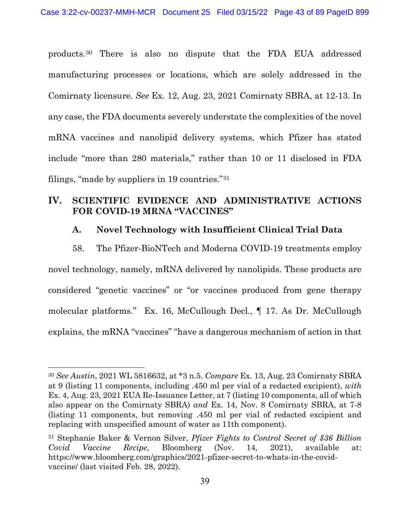products.[30](#page-42-0) There is also no dispute that the FDA EUA addressed manufacturing processes or locations, which are solely addressed in the Comirnaty licensure. *See* Ex. 12, Aug. 23, 2021 Comirnaty SBRA, at 12-13. In any case, the FDA documents severely understate the complexities of the novel mRNA vaccines and nanolipid delivery systems, which Pfizer has stated include "more than 280 materials," rather than 10 or 11 disclosed in FDA filings, "made by suppliers in 19 countries."[31](#page-42-1)

# **IV. SCIENTIFIC EVIDENCE AND ADMINISTRATIVE ACTIONS FOR COVID-19 MRNA "VACCINES"**

### **A. Novel Technology with Insufficient Clinical Trial Data**

58. The Pfizer-BioNTech and Moderna COVID-19 treatments employ novel technology, namely, mRNA delivered by nanolipids. These products are considered "genetic vaccines" or "or vaccines produced from gene therapy molecular platforms." Ex. 16, McCullough Decl., ¶ 17. As Dr. McCullough explains, the mRNA "vaccines" "have a dangerous mechanism of action in that

<span id="page-42-0"></span><sup>30</sup> *See Austin*, 2021 WL 5816632, at \*3 n.5. *Compare* Ex. 13, Aug. 23 Comirnaty SBRA at 9 (listing 11 components, including .450 ml per vial of a redacted excipient), *with*  Ex. 4, Aug. 23, 2021 EUA Re-Issuance Letter, at 7 (listing 10 components, all of which also appear on the Comirnaty SBRA) *and* Ex. 14, Nov. 8 Comirnaty SBRA, at 7-8 (listing 11 components, but removing .450 ml per vial of redacted excipient and replacing with unspecified amount of water as 11th component).

<span id="page-42-1"></span><sup>31</sup> Stephanie Baker & Vernon Silver, *Pfizer Fights to Control Secret of \$36 Billion Covid Vaccine Recipe*, Bloomberg (Nov. 14, 2021), available at: https://www.bloomberg.com/graphics/2021-pfizer-secret-to-whats-in-the-covidvaccine/ (last visited Feb. 28, 2022).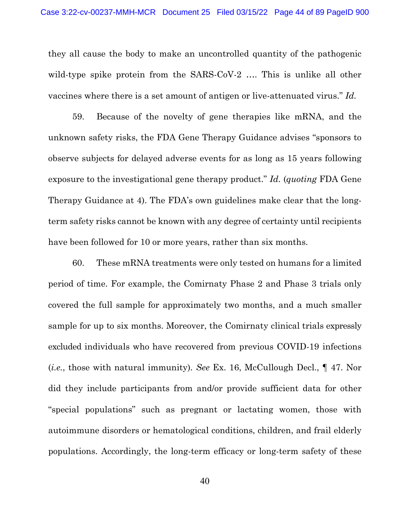they all cause the body to make an uncontrolled quantity of the pathogenic wild-type spike protein from the SARS-CoV-2 .... This is unlike all other vaccines where there is a set amount of antigen or live-attenuated virus." *Id.*

59. Because of the novelty of gene therapies like mRNA, and the unknown safety risks, the FDA Gene Therapy Guidance advises "sponsors to observe subjects for delayed adverse events for as long as 15 years following exposure to the investigational gene therapy product." *Id.* (*quoting* FDA Gene Therapy Guidance at 4). The FDA's own guidelines make clear that the longterm safety risks cannot be known with any degree of certainty until recipients have been followed for 10 or more years, rather than six months.

60. These mRNA treatments were only tested on humans for a limited period of time. For example, the Comirnaty Phase 2 and Phase 3 trials only covered the full sample for approximately two months, and a much smaller sample for up to six months. Moreover, the Comirnaty clinical trials expressly excluded individuals who have recovered from previous COVID-19 infections (*i.e.*, those with natural immunity)*. See* Ex. 16, McCullough Decl., ¶ 47. Nor did they include participants from and/or provide sufficient data for other "special populations" such as pregnant or lactating women, those with autoimmune disorders or hematological conditions, children, and frail elderly populations. Accordingly, the long-term efficacy or long-term safety of these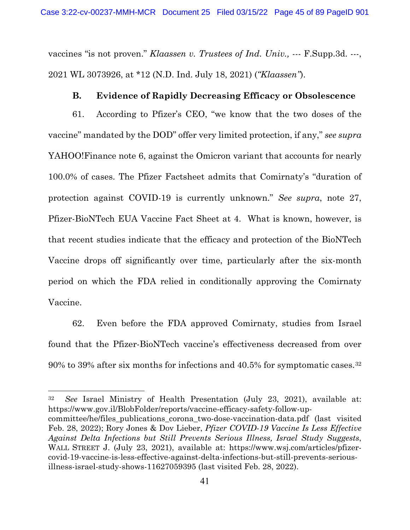vaccines "is not proven." *Klaassen v. Trustees of Ind. Univ.,* --- F.Supp.3d. ---, 2021 WL 3073926, at \*12 (N.D. Ind. July 18, 2021) (*"Klaassen"*).

#### **B. Evidence of Rapidly Decreasing Efficacy or Obsolescence**

61. According to Pfizer's CEO, "we know that the two doses of the vaccine" mandated by the DOD" offer very limited protection, if any," *see supra*  YAHOO!Finance note [6,](#page-7-0) against the Omicron variant that accounts for nearly 100.0% of cases. The Pfizer Factsheet admits that Comirnaty's "duration of protection against COVID-19 is currently unknown." *See supra*, note [27,](#page-37-2) Pfizer-BioNTech EUA Vaccine Fact Sheet at 4. What is known, however, is that recent studies indicate that the efficacy and protection of the BioNTech Vaccine drops off significantly over time, particularly after the six-month period on which the FDA relied in conditionally approving the Comirnaty Vaccine.

62. Even before the FDA approved Comirnaty, studies from Israel found that the Pfizer-BioNTech vaccine's effectiveness decreased from over 90% to 39% after six months for infections and 40.5% for symptomatic cases.[32](#page-44-0)

<span id="page-44-0"></span>32 *See* Israel Ministry of Health Presentation (July 23, 2021), available at: https://www.gov.il/BlobFolder/reports/vaccine-efficacy-safety-follow-upcommittee/he/files\_publications\_corona\_two-dose-vaccination-data.pdf (last visited Feb. 28, 2022); Rory Jones & Dov Lieber, *Pfizer COVID-19 Vaccine Is Less Effective Against Delta Infections but Still Prevents Serious Illness, Israel Study Suggests*, WALL STREET J. (July 23, 2021), available at: https://www.wsj.com/articles/pfizercovid-19-vaccine-is-less-effective-against-delta-infections-but-still-prevents-seriousillness-israel-study-shows-11627059395 (last visited Feb. 28, 2022).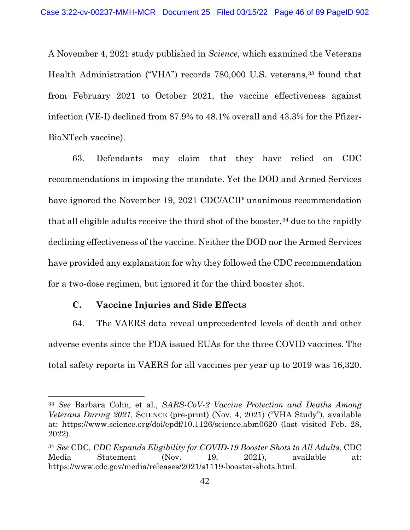<span id="page-45-2"></span>A November 4, 2021 study published in *Science*, which examined the Veterans Health Administration ("VHA") records 780,000 U.S. veterans, <sup>[33](#page-45-0)</sup> found that from February 2021 to October 2021, the vaccine effectiveness against infection (VE-I) declined from 87.9% to 48.1% overall and 43.3% for the Pfizer-BioNTech vaccine).

63. Defendants may claim that they have relied on CDC recommendations in imposing the mandate. Yet the DOD and Armed Services have ignored the November 19, 2021 CDC/ACIP unanimous recommendation that all eligible adults receive the third shot of the booster,<sup>[34](#page-45-1)</sup> due to the rapidly declining effectiveness of the vaccine. Neither the DOD nor the Armed Services have provided any explanation for why they followed the CDC recommendation for a two-dose regimen, but ignored it for the third booster shot.

### **C. Vaccine Injuries and Side Effects**

64. The VAERS data reveal unprecedented levels of death and other adverse events since the FDA issued EUAs for the three COVID vaccines. The total safety reports in VAERS for all vaccines per year up to 2019 was 16,320.

<span id="page-45-0"></span><sup>33</sup> *See* Barbara Cohn, et al., *SARS-CoV-2 Vaccine Protection and Deaths Among Veterans During 2021,* SCIENCE (pre-print) (Nov. 4, 2021) ("VHA Study"), available at: https://www.science.org/doi/epdf/10.1126/science.abm0620 (last visited Feb. 28, 2022).

<span id="page-45-1"></span><sup>34</sup> *See* CDC, *CDC Expands Eligibility for COVID-19 Booster Shots to All Adults,* CDC Media Statement (Nov. 19, 2021), available at: https://www.cdc.gov/media/releases/2021/s1119-booster-shots.html.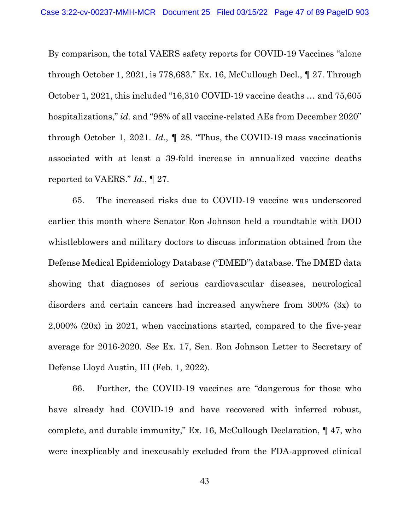By comparison, the total VAERS safety reports for COVID-19 Vaccines "alone through October 1, 2021, is 778,683." Ex. 16, McCullough Decl., ¶ 27. Through October 1, 2021, this included "16,310 COVID-19 vaccine deaths … and 75,605 hospitalizations," *id.* and "98% of all vaccine-related AEs from December 2020" through October 1, 2021. *Id.*, ¶ 28. "Thus, the COVID-19 mass vaccinationis associated with at least a 39-fold increase in annualized vaccine deaths reported to VAERS." *Id.*, ¶ 27.

65. The increased risks due to COVID-19 vaccine was underscored earlier this month where Senator Ron Johnson held a roundtable with DOD whistleblowers and military doctors to discuss information obtained from the Defense Medical Epidemiology Database ("DMED") database. The DMED data showing that diagnoses of serious cardiovascular diseases, neurological disorders and certain cancers had increased anywhere from 300% (3x) to 2,000% (20x) in 2021, when vaccinations started, compared to the five-year average for 2016-2020. *See* Ex. 17, Sen. Ron Johnson Letter to Secretary of Defense Lloyd Austin, III (Feb. 1, 2022).

66. Further, the COVID-19 vaccines are "dangerous for those who have already had COVID-19 and have recovered with inferred robust, complete, and durable immunity," Ex. 16, McCullough Declaration, ¶ 47, who were inexplicably and inexcusably excluded from the FDA-approved clinical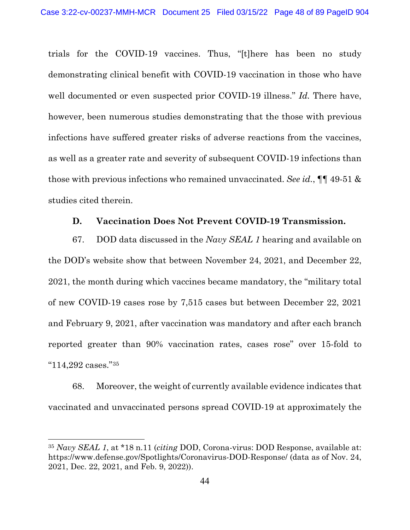trials for the COVID-19 vaccines. Thus, "[t]here has been no study demonstrating clinical benefit with COVID-19 vaccination in those who have well documented or even suspected prior COVID-19 illness." *Id.* There have, however, been numerous studies demonstrating that the those with previous infections have suffered greater risks of adverse reactions from the vaccines, as well as a greater rate and severity of subsequent COVID-19 infections than those with previous infections who remained unvaccinated. *See id.*, ¶¶ 49-51 & studies cited therein.

#### **D. Vaccination Does Not Prevent COVID-19 Transmission.**

67. DOD data discussed in the *Navy SEAL 1* hearing and available on the DOD's website show that between November 24, 2021, and December 22, 2021, the month during which vaccines became mandatory, the "military total of new COVID-19 cases rose by 7,515 cases but between December 22, 2021 and February 9, 2021, after vaccination was mandatory and after each branch reported greater than 90% vaccination rates, cases rose" over 15-fold to "114,292 cases."[35](#page-47-0)

68. Moreover, the weight of currently available evidence indicates that vaccinated and unvaccinated persons spread COVID-19 at approximately the

<span id="page-47-0"></span><sup>35</sup> *Navy SEAL 1*, at \*18 n.11 (*citing* DOD, Corona-virus: DOD Response, available at: https://www.defense.gov/Spotlights/Coronavirus-DOD-Response/ (data as of Nov. 24, 2021, Dec. 22, 2021, and Feb. 9, 2022)).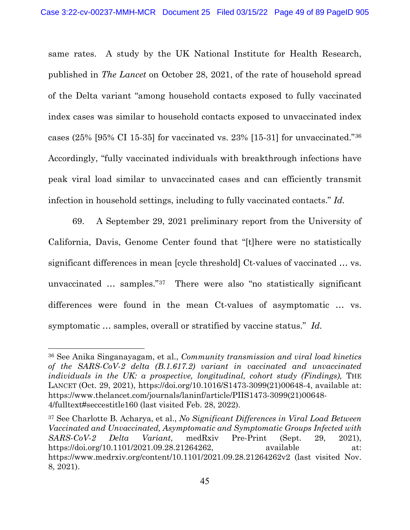same rates. A study by the UK National Institute for Health Research, published in *The Lancet* on October 28, 2021, of the rate of household spread of the Delta variant "among household contacts exposed to fully vaccinated index cases was similar to household contacts exposed to unvaccinated index cases (25% [95% CI 15-35] for vaccinated vs. 23% [15-31] for unvaccinated."[36](#page-48-0) Accordingly, "fully vaccinated individuals with breakthrough infections have peak viral load similar to unvaccinated cases and can efficiently transmit infection in household settings, including to fully vaccinated contacts." *Id.*

69. A September 29, 2021 preliminary report from the University of California, Davis, Genome Center found that "[t]here were no statistically significant differences in mean [cycle threshold] Ct-values of vaccinated … vs. unvaccinated … samples."[37](#page-48-1) There were also "no statistically significant differences were found in the mean Ct-values of asymptomatic … vs. symptomatic … samples, overall or stratified by vaccine status." *Id.*

<span id="page-48-0"></span><sup>36</sup> See Anika Singanayagam, et al., *Community transmission and viral load kinetics of the SARS-CoV-2 delta (B.1.617.2) variant in vaccinated and unvaccinated individuals in the UK: a prospective, longitudinal, cohort study (Findings),* THE LANCET (Oct. 29, 2021), https://doi.org/10.1016/S1473-3099(21)00648-4, available at: https://www.thelancet.com/journals/laninf/article/PIIS1473-3099(21)00648- 4/fulltext#seccestitle160 (last visited Feb. 28, 2022).

<span id="page-48-1"></span><sup>37</sup> See Charlotte B. Acharya, et al., *No Significant Differences in Viral Load Between Vaccinated and Unvaccinated, Asymptomatic and Symptomatic Groups Infected with SARS-CoV-2 Delta Variant*, medRxiv Pre-Print (Sept. 29, 2021), https://doi.org/10.1101/2021.09.28.21264262, available at: https://www.medrxiv.org/content/10.1101/2021.09.28.21264262v2 (last visited Nov. 8, 2021).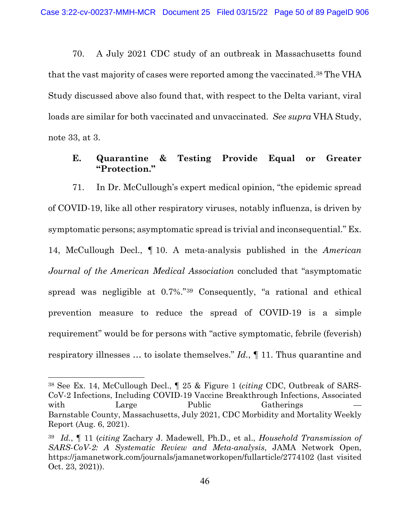70. A July 2021 CDC study of an outbreak in Massachusetts found that the vast majority of cases were reported among the vaccinated.[38](#page-49-0) The VHA Study discussed above also found that, with respect to the Delta variant, viral loads are similar for both vaccinated and unvaccinated. *See supra* VHA Study, note [33,](#page-45-2) at 3.

## **E. Quarantine & Testing Provide Equal or Greater "Protection."**

<span id="page-49-2"></span>71. In Dr. McCullough's expert medical opinion, "the epidemic spread of COVID-19, like all other respiratory viruses, notably influenza, is driven by symptomatic persons; asymptomatic spread is trivial and inconsequential." Ex. 14, McCullough Decl., ¶ 10. A meta-analysis published in the *American Journal of the American Medical Association* concluded that "asymptomatic spread was negligible at 0.7%."[39](#page-49-1) Consequently, "a rational and ethical prevention measure to reduce the spread of COVID-19 is a simple requirement" would be for persons with "active symptomatic, febrile (feverish) respiratory illnesses … to isolate themselves." *Id.*, ¶ 11. Thus quarantine and

<span id="page-49-0"></span><sup>38</sup> See Ex. 14, McCullough Decl., ¶ 25 & Figure 1 (*citing* CDC, Outbreak of SARS-CoV-2 Infections, Including COVID-19 Vaccine Breakthrough Infections, Associated with Large Public Gatherings Barnstable County, Massachusetts, July 2021, CDC Morbidity and Mortality Weekly Report (Aug. 6, 2021).

<span id="page-49-1"></span><sup>39</sup> *Id.*, ¶ 11 (*citing* Zachary J. Madewell, Ph.D., et al., *Household Transmission of SARS-CoV-2: A Systematic Review and Meta-analysis*, JAMA Network Open, https://jamanetwork.com/journals/jamanetworkopen/fullarticle/2774102 (last visited Oct. 23, 2021)).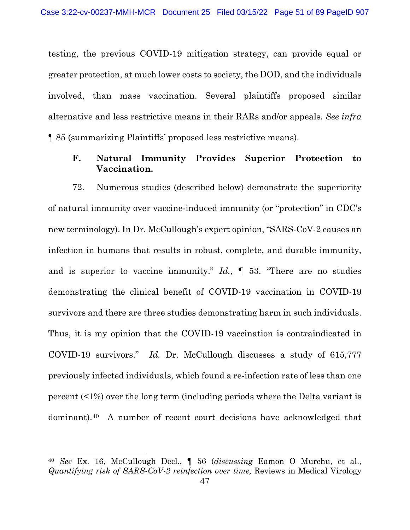testing, the previous COVID-19 mitigation strategy, can provide equal or greater protection, at much lower costs to society, the DOD, and the individuals involved, than mass vaccination. Several plaintiffs proposed similar alternative and less restrictive means in their RARs and/or appeals. *See infra*  ¶ [85](#page-57-0) (summarizing Plaintiffs' proposed less restrictive means).

# <span id="page-50-1"></span>**F. Natural Immunity Provides Superior Protection to Vaccination.**

72. Numerous studies (described below) demonstrate the superiority of natural immunity over vaccine-induced immunity (or "protection" in CDC's new terminology). In Dr. McCullough's expert opinion, "SARS-CoV-2 causes an infection in humans that results in robust, complete, and durable immunity, and is superior to vaccine immunity." *Id.*, ¶ 53. "There are no studies demonstrating the clinical benefit of COVID-19 vaccination in COVID-19 survivors and there are three studies demonstrating harm in such individuals. Thus, it is my opinion that the COVID-19 vaccination is contraindicated in COVID-19 survivors." *Id.* Dr. McCullough discusses a study of 615,777 previously infected individuals, which found a re-infection rate of less than one percent (<1%) over the long term (including periods where the Delta variant is dominant).[40](#page-50-0) A number of recent court decisions have acknowledged that

<span id="page-50-0"></span><sup>40</sup> *See* Ex. 16, McCullough Decl., ¶ 56 (*discussing* Eamon O Murchu, et al., *Quantifying risk of SARS-CoV-2 reinfection over time,* Reviews in Medical Virology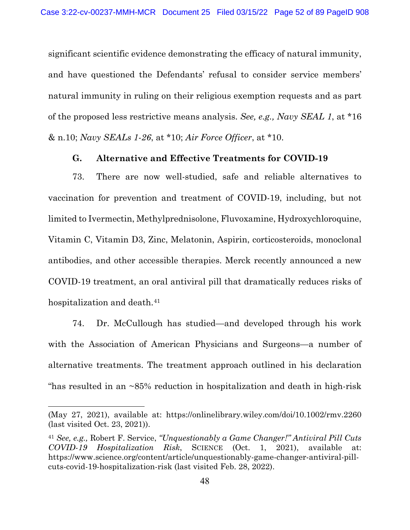significant scientific evidence demonstrating the efficacy of natural immunity, and have questioned the Defendants' refusal to consider service members' natural immunity in ruling on their religious exemption requests and as part of the proposed less restrictive means analysis. *See, e.g., Navy SEAL 1*, at \*16 & n.10; *Navy SEALs 1-26*, at \*10; *Air Force Officer*, at \*10.

## **G. Alternative and Effective Treatments for COVID-19**

73. There are now well-studied, safe and reliable alternatives to vaccination for prevention and treatment of COVID-19, including, but not limited to Ivermectin, Methylprednisolone, Fluvoxamine, Hydroxychloroquine, Vitamin C, Vitamin D3, Zinc, Melatonin, Aspirin, corticosteroids, monoclonal antibodies, and other accessible therapies. Merck recently announced a new COVID-19 treatment, an oral antiviral pill that dramatically reduces risks of hospitalization and death.<sup>[41](#page-51-0)</sup>

74. Dr. McCullough has studied—and developed through his work with the Association of American Physicians and Surgeons—a number of alternative treatments. The treatment approach outlined in his declaration "has resulted in an ~85% reduction in hospitalization and death in high-risk

<sup>(</sup>May 27, 2021), available at: https://onlinelibrary.wiley.com/doi/10.1002/rmv.2260 (last visited Oct. 23, 2021)).

<span id="page-51-0"></span><sup>41</sup> *See, e.g.,* Robert F. Service, *"Unquestionably a Game Changer!" Antiviral Pill Cuts COVID-19 Hospitalization Risk*, SCIENCE (Oct. 1, 2021), available at: https://www.science.org/content/article/unquestionably-game-changer-antiviral-pillcuts-covid-19-hospitalization-risk (last visited Feb. 28, 2022).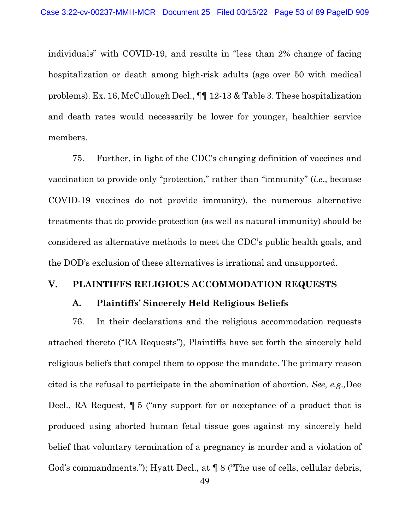individuals" with COVID-19, and results in "less than 2% change of facing hospitalization or death among high-risk adults (age over 50 with medical problems). Ex. 16, McCullough Decl., ¶¶ 12-13 & Table 3. These hospitalization and death rates would necessarily be lower for younger, healthier service members.

75. Further, in light of the CDC's changing definition of vaccines and vaccination to provide only "protection," rather than "immunity" (*i.e.*, because COVID-19 vaccines do not provide immunity), the numerous alternative treatments that do provide protection (as well as natural immunity) should be considered as alternative methods to meet the CDC's public health goals, and the DOD's exclusion of these alternatives is irrational and unsupported.

#### **V. PLAINTIFFS RELIGIOUS ACCOMMODATION REQUESTS**

#### **A. Plaintiffs' Sincerely Held Religious Beliefs**

76. In their declarations and the religious accommodation requests attached thereto ("RA Requests"), Plaintiffs have set forth the sincerely held religious beliefs that compel them to oppose the mandate. The primary reason cited is the refusal to participate in the abomination of abortion. *See, e.g.,*Dee Decl., RA Request, ¶ 5 ("any support for or acceptance of a product that is produced using aborted human fetal tissue goes against my sincerely held belief that voluntary termination of a pregnancy is murder and a violation of God's commandments."); Hyatt Decl., at  $\P$  8 ("The use of cells, cellular debris,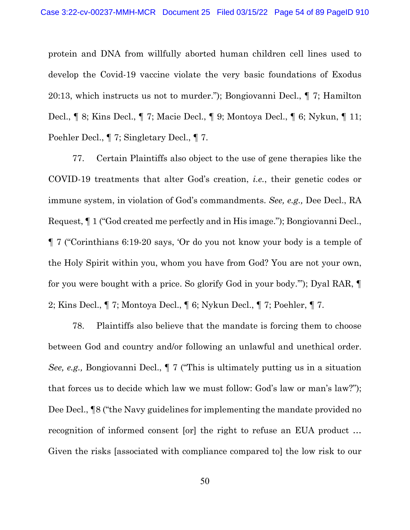protein and DNA from willfully aborted human children cell lines used to develop the Covid-19 vaccine violate the very basic foundations of Exodus 20:13, which instructs us not to murder."); Bongiovanni Decl., ¶ 7; Hamilton Decl., ¶ 8; Kins Decl., ¶ 7; Macie Decl., ¶ 9; Montoya Decl., ¶ 6; Nykun, ¶ 11; Poehler Decl., ¶ 7; Singletary Decl., ¶ 7.

77. Certain Plaintiffs also object to the use of gene therapies like the COVID-19 treatments that alter God's creation, *i.e.*, their genetic codes or immune system, in violation of God's commandments. *See, e.g.,* Dee Decl., RA Request, ¶ 1 ("God created me perfectly and in His image."); Bongiovanni Decl., ¶ 7 ("Corinthians 6:19-20 says, 'Or do you not know your body is a temple of the Holy Spirit within you, whom you have from God? You are not your own, for you were bought with a price. So glorify God in your body.'"); Dyal RAR, ¶ 2; Kins Decl., ¶ 7; Montoya Decl., ¶ 6; Nykun Decl., ¶ 7; Poehler, ¶ 7.

78. Plaintiffs also believe that the mandate is forcing them to choose between God and country and/or following an unlawful and unethical order. *See, e.g.,* Bongiovanni Decl., ¶ 7 ("This is ultimately putting us in a situation that forces us to decide which law we must follow: God's law or man's law?"); Dee Decl., ¶8 ("the Navy guidelines for implementing the mandate provided no recognition of informed consent [or] the right to refuse an EUA product … Given the risks [associated with compliance compared to] the low risk to our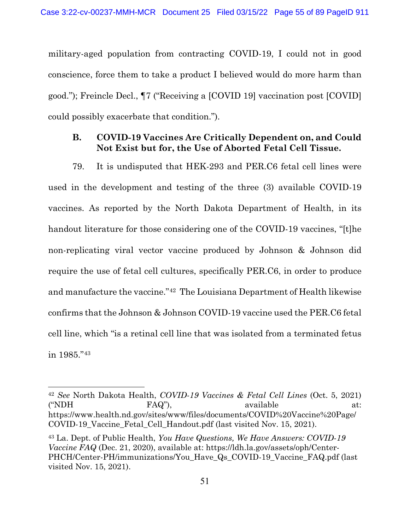military-aged population from contracting COVID-19, I could not in good conscience, force them to take a product I believed would do more harm than good."); Freincle Decl., ¶7 ("Receiving a [COVID 19] vaccination post [COVID] could possibly exacerbate that condition.").

# **B. COVID-19 Vaccines Are Critically Dependent on, and Could Not Exist but for, the Use of Aborted Fetal Cell Tissue.**

79. It is undisputed that HEK-293 and PER.C6 fetal cell lines were used in the development and testing of the three (3) available COVID-19 vaccines. As reported by the North Dakota Department of Health, in its handout literature for those considering one of the COVID-19 vaccines, "[t]he non-replicating viral vector vaccine produced by Johnson & Johnson did require the use of fetal cell cultures, specifically PER.C6, in order to produce and manufacture the vaccine."[42](#page-54-0) The Louisiana Department of Health likewise confirms that the Johnson & Johnson COVID-19 vaccine used the PER.C6 fetal cell line, which "is a retinal cell line that was isolated from a terminated fetus in 1985."[43](#page-54-1)

<span id="page-54-0"></span><sup>42</sup> *See* North Dakota Health, *COVID-19 Vaccines & Fetal Cell Lines* (Oct. 5, 2021) ("NDH FAQ"), available at: https://www.health.nd.gov/sites/www/files/documents/COVID%20Vaccine%20Page/ COVID-19\_Vaccine\_Fetal\_Cell\_Handout.pdf (last visited Nov. 15, 2021).

<span id="page-54-1"></span><sup>43</sup> La. Dept. of Public Health, *You Have Questions, We Have Answers: COVID-19 Vaccine FAQ* (Dec. 21, 2020), available at: https://ldh.la.gov/assets/oph/Center-PHCH/Center-PH/immunizations/You\_Have\_Qs\_COVID-19\_Vaccine\_FAQ.pdf (last visited Nov. 15, 2021).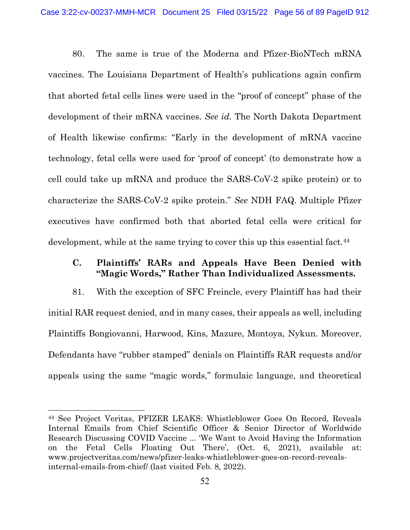80. The same is true of the Moderna and Pfizer-BioNTech mRNA vaccines. The Louisiana Department of Health's publications again confirm that aborted fetal cells lines were used in the "proof of concept" phase of the development of their mRNA vaccines. *See id.* The North Dakota Department of Health likewise confirms: "Early in the development of mRNA vaccine technology, fetal cells were used for 'proof of concept' (to demonstrate how a cell could take up mRNA and produce the SARS-CoV-2 spike protein) or to characterize the SARS-CoV-2 spike protein." *See* NDH FAQ. Multiple Pfizer executives have confirmed both that aborted fetal cells were critical for development, while at the same trying to cover this up this essential fact.<sup>[44](#page-55-0)</sup>

# <span id="page-55-1"></span>**C. Plaintiffs' RARs and Appeals Have Been Denied with "Magic Words," Rather Than Individualized Assessments.**

81. With the exception of SFC Freincle, every Plaintiff has had their initial RAR request denied, and in many cases, their appeals as well, including Plaintiffs Bongiovanni, Harwood, Kins, Mazure, Montoya, Nykun. Moreover, Defendants have "rubber stamped" denials on Plaintiffs RAR requests and/or appeals using the same "magic words," formulaic language, and theoretical

<span id="page-55-0"></span><sup>44</sup> See Project Veritas, PFIZER LEAKS: Whistleblower Goes On Record, Reveals Internal Emails from Chief Scientific Officer & Senior Director of Worldwide Research Discussing COVID Vaccine ... 'We Want to Avoid Having the Information on the Fetal Cells Floating Out There', (Oct. 6, 2021), available at: www.projectveritas.com/news/pfizer-leaks-whistleblower-goes-on-record-revealsinternal-emails-from-chief/ (last visited Feb. 8, 2022).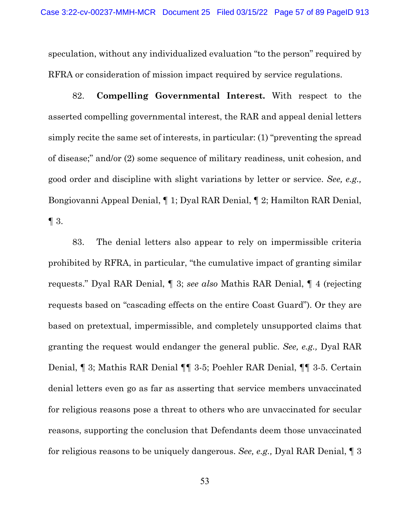speculation, without any individualized evaluation "to the person" required by RFRA or consideration of mission impact required by service regulations.

<span id="page-56-0"></span>82. **Compelling Governmental Interest.** With respect to the asserted compelling governmental interest, the RAR and appeal denial letters simply recite the same set of interests, in particular: (1) "preventing the spread of disease;" and/or (2) some sequence of military readiness, unit cohesion, and good order and discipline with slight variations by letter or service. *See, e.g.,*  Bongiovanni Appeal Denial, ¶ 1; Dyal RAR Denial, ¶ 2; Hamilton RAR Denial,  $\P$  3.

<span id="page-56-1"></span>83. The denial letters also appear to rely on impermissible criteria prohibited by RFRA, in particular, "the cumulative impact of granting similar requests." Dyal RAR Denial, ¶ 3; *see also* Mathis RAR Denial, ¶ 4 (rejecting requests based on "cascading effects on the entire Coast Guard"). Or they are based on pretextual, impermissible, and completely unsupported claims that granting the request would endanger the general public. *See, e.g.,* Dyal RAR Denial, ¶ 3; Mathis RAR Denial ¶¶ 3-5; Poehler RAR Denial, ¶¶ 3-5. Certain denial letters even go as far as asserting that service members unvaccinated for religious reasons pose a threat to others who are unvaccinated for secular reasons, supporting the conclusion that Defendants deem those unvaccinated for religious reasons to be uniquely dangerous. *See, e.g.,* Dyal RAR Denial, ¶ 3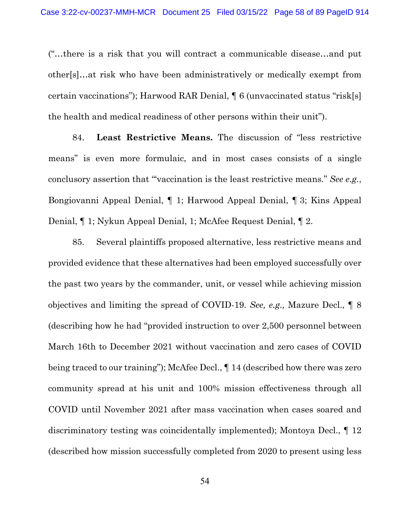("…there is a risk that you will contract a communicable disease…and put other[s]…at risk who have been administratively or medically exempt from certain vaccinations"); Harwood RAR Denial, ¶ 6 (unvaccinated status "risk[s] the health and medical readiness of other persons within their unit").

<span id="page-57-1"></span>84. **Least Restrictive Means.** The discussion of "less restrictive means" is even more formulaic, and in most cases consists of a single conclusory assertion that "'vaccination is the least restrictive means." *See e.g.*, Bongiovanni Appeal Denial, ¶ 1; Harwood Appeal Denial, ¶ 3; Kins Appeal Denial, ¶ 1; Nykun Appeal Denial, 1; McAfee Request Denial, ¶ 2.

<span id="page-57-0"></span>85. Several plaintiffs proposed alternative, less restrictive means and provided evidence that these alternatives had been employed successfully over the past two years by the commander, unit, or vessel while achieving mission objectives and limiting the spread of COVID-19. *See, e.g.,* Mazure Decl., ¶ 8 (describing how he had "provided instruction to over 2,500 personnel between March 16th to December 2021 without vaccination and zero cases of COVID being traced to our training"); McAfee Decl., ¶ 14 (described how there was zero community spread at his unit and 100% mission effectiveness through all COVID until November 2021 after mass vaccination when cases soared and discriminatory testing was coincidentally implemented); Montoya Decl., ¶ 12 (described how mission successfully completed from 2020 to present using less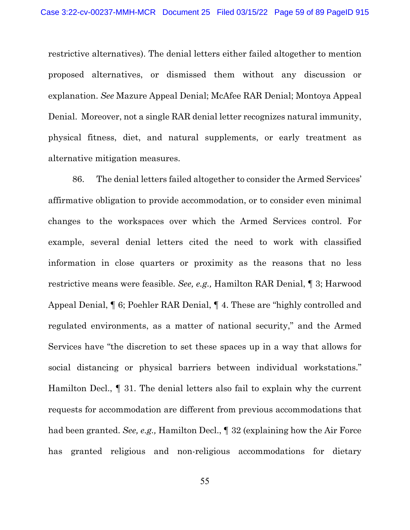restrictive alternatives). The denial letters either failed altogether to mention proposed alternatives, or dismissed them without any discussion or explanation. *See* Mazure Appeal Denial; McAfee RAR Denial; Montoya Appeal Denial. Moreover, not a single RAR denial letter recognizes natural immunity, physical fitness, diet, and natural supplements, or early treatment as alternative mitigation measures.

86. The denial letters failed altogether to consider the Armed Services' affirmative obligation to provide accommodation, or to consider even minimal changes to the workspaces over which the Armed Services control. For example, several denial letters cited the need to work with classified information in close quarters or proximity as the reasons that no less restrictive means were feasible. *See, e.g.,* Hamilton RAR Denial, ¶ 3; Harwood Appeal Denial, ¶ 6; Poehler RAR Denial, ¶ 4. These are "highly controlled and regulated environments, as a matter of national security," and the Armed Services have "the discretion to set these spaces up in a way that allows for social distancing or physical barriers between individual workstations." Hamilton Decl., ¶ 31. The denial letters also fail to explain why the current requests for accommodation are different from previous accommodations that had been granted. *See, e.g.,* Hamilton Decl., ¶ 32 (explaining how the Air Force has granted religious and non-religious accommodations for dietary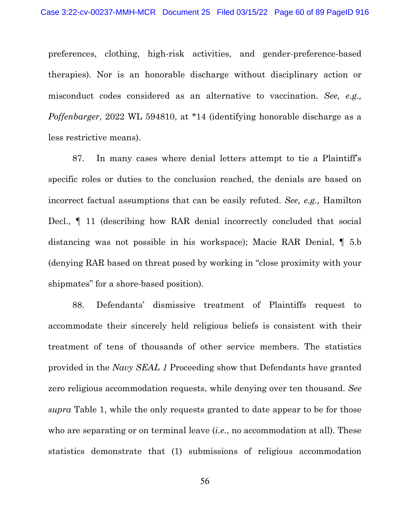preferences, clothing, high-risk activities, and gender-preference-based therapies). Nor is an honorable discharge without disciplinary action or misconduct codes considered as an alternative to vaccination. *See, e.g., Poffenbarger*, 2022 WL 594810, at \*14 (identifying honorable discharge as a less restrictive means).

87. In many cases where denial letters attempt to tie a Plaintiff's specific roles or duties to the conclusion reached, the denials are based on incorrect factual assumptions that can be easily refuted. *See, e.g.,* Hamilton Decl., ¶ 11 (describing how RAR denial incorrectly concluded that social distancing was not possible in his workspace); Macie RAR Denial, ¶ 5.b (denying RAR based on threat posed by working in "close proximity with your shipmates" for a shore-based position).

88. Defendants' dismissive treatment of Plaintiffs request to accommodate their sincerely held religious beliefs is consistent with their treatment of tens of thousands of other service members. The statistics provided in the *Navy SEAL 1* Proceeding show that Defendants have granted zero religious accommodation requests, while denying over ten thousand. *See supra* Table 1, while the only requests granted to date appear to be for those who are separating or on terminal leave *(i.e., no accommodation at all)*. These statistics demonstrate that (1) submissions of religious accommodation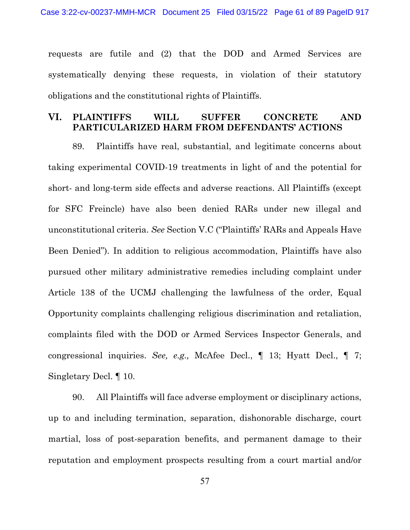requests are futile and (2) that the DOD and Armed Services are systematically denying these requests, in violation of their statutory obligations and the constitutional rights of Plaintiffs.

## **VI. PLAINTIFFS WILL SUFFER CONCRETE AND PARTICULARIZED HARM FROM DEFENDANTS' ACTIONS**

89. Plaintiffs have real, substantial, and legitimate concerns about taking experimental COVID-19 treatments in light of and the potential for short- and long-term side effects and adverse reactions. All Plaintiffs (except for SFC Freincle) have also been denied RARs under new illegal and unconstitutional criteria. *See* Section [V.C](#page-55-1) (["Plaintiffs' RARs and Appeals Have](#page-55-1)  [Been Denied"](#page-55-1)). In addition to religious accommodation, Plaintiffs have also pursued other military administrative remedies including complaint under Article 138 of the UCMJ challenging the lawfulness of the order, Equal Opportunity complaints challenging religious discrimination and retaliation, complaints filed with the DOD or Armed Services Inspector Generals, and congressional inquiries. *See, e.g.,* McAfee Decl., ¶ 13; Hyatt Decl., ¶ 7; Singletary Decl. ¶ 10.

90. All Plaintiffs will face adverse employment or disciplinary actions, up to and including termination, separation, dishonorable discharge, court martial, loss of post-separation benefits, and permanent damage to their reputation and employment prospects resulting from a court martial and/or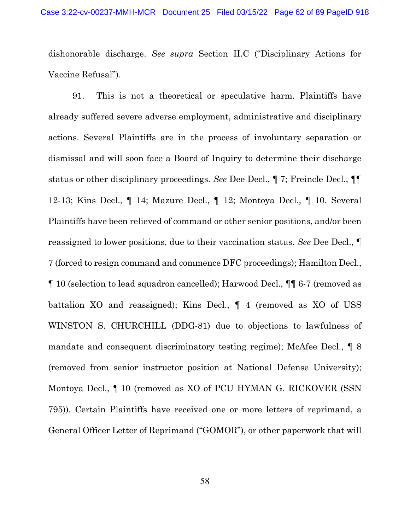dishonorable discharge. *See supra* Section [II.C](#page-35-0) (["Disciplinary Actions for](#page-35-0)  [Vaccine Refusal"](#page-35-0)).

91. This is not a theoretical or speculative harm. Plaintiffs have already suffered severe adverse employment, administrative and disciplinary actions. Several Plaintiffs are in the process of involuntary separation or dismissal and will soon face a Board of Inquiry to determine their discharge status or other disciplinary proceedings. *See* Dee Decl., ¶ 7; Freincle Decl., ¶¶ 12-13; Kins Decl., ¶ 14; Mazure Decl., ¶ 12; Montoya Decl., ¶ 10. Several Plaintiffs have been relieved of command or other senior positions, and/or been reassigned to lower positions, due to their vaccination status. *See* Dee Decl., ¶ 7 (forced to resign command and commence DFC proceedings); Hamilton Decl., ¶ 10 (selection to lead squadron cancelled); Harwood Decl., ¶¶ 6-7 (removed as battalion XO and reassigned); Kins Decl., ¶ 4 (removed as XO of USS WINSTON S. CHURCHILL (DDG-81) due to objections to lawfulness of mandate and consequent discriminatory testing regime); McAfee Decl., ¶ 8 (removed from senior instructor position at National Defense University); Montoya Decl., ¶ 10 (removed as XO of PCU HYMAN G. RICKOVER (SSN 795)). Certain Plaintiffs have received one or more letters of reprimand, a General Officer Letter of Reprimand ("GOMOR"), or other paperwork that will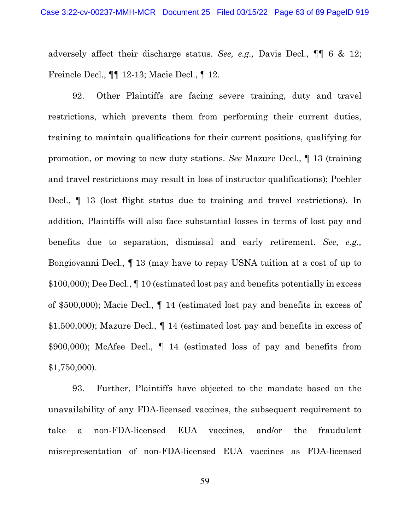adversely affect their discharge status. *See, e.g.,* Davis Decl., ¶¶ 6 & 12; Freincle Decl., ¶¶ 12-13; Macie Decl., ¶ 12.

92. Other Plaintiffs are facing severe training, duty and travel restrictions, which prevents them from performing their current duties, training to maintain qualifications for their current positions, qualifying for promotion, or moving to new duty stations. *See* Mazure Decl., ¶ 13 (training and travel restrictions may result in loss of instructor qualifications); Poehler Decl., ¶ 13 (lost flight status due to training and travel restrictions). In addition, Plaintiffs will also face substantial losses in terms of lost pay and benefits due to separation, dismissal and early retirement. *See, e.g.,*  Bongiovanni Decl., ¶ 13 (may have to repay USNA tuition at a cost of up to \$100,000); Dee Decl., ¶ 10 (estimated lost pay and benefits potentially in excess of \$500,000); Macie Decl., ¶ 14 (estimated lost pay and benefits in excess of \$1,500,000); Mazure Decl., ¶ 14 (estimated lost pay and benefits in excess of \$900,000); McAfee Decl., ¶ 14 (estimated loss of pay and benefits from \$1,750,000).

93. Further, Plaintiffs have objected to the mandate based on the unavailability of any FDA-licensed vaccines, the subsequent requirement to take a non-FDA-licensed EUA vaccines, and/or the fraudulent misrepresentation of non-FDA-licensed EUA vaccines as FDA-licensed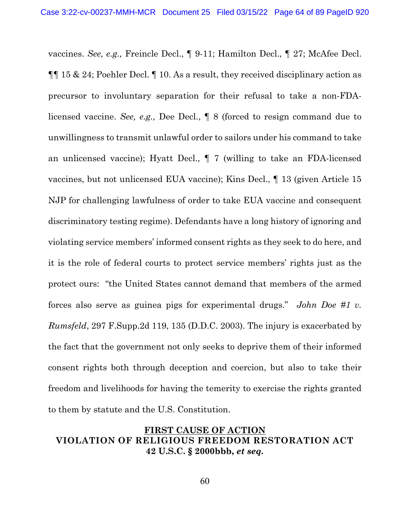vaccines. *See, e.g.,* Freincle Decl., ¶ 9-11; Hamilton Decl., ¶ 27; McAfee Decl. ¶¶ 15 & 24; Poehler Decl. ¶ 10. As a result, they received disciplinary action as precursor to involuntary separation for their refusal to take a non-FDAlicensed vaccine. *See, e.g.,* Dee Decl., ¶ 8 (forced to resign command due to unwillingness to transmit unlawful order to sailors under his command to take an unlicensed vaccine); Hyatt Decl., ¶ 7 (willing to take an FDA-licensed vaccines, but not unlicensed EUA vaccine); Kins Decl., ¶ 13 (given Article 15 NJP for challenging lawfulness of order to take EUA vaccine and consequent discriminatory testing regime). Defendants have a long history of ignoring and violating service members' informed consent rights as they seek to do here, and it is the role of federal courts to protect service members' rights just as the protect ours: "the United States cannot demand that members of the armed forces also serve as guinea pigs for experimental drugs." *John Doe #1 v. Rumsfeld*, 297 F.Supp.2d 119, 135 (D.D.C. 2003). The injury is exacerbated by the fact that the government not only seeks to deprive them of their informed consent rights both through deception and coercion, but also to take their freedom and livelihoods for having the temerity to exercise the rights granted to them by statute and the U.S. Constitution.

# **FIRST CAUSE OF ACTION VIOLATION OF RELIGIOUS FREEDOM RESTORATION ACT 42 U.S.C. § 2000bbb,** *et seq.*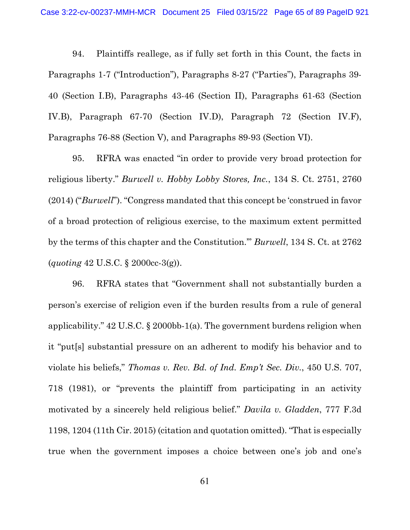94. Plaintiffs reallege, as if fully set forth in this Count, the facts in Paragraphs 1-7 ("Introduction"), Paragraphs 8-27 ("Parties"), Paragraphs 39- 40 (Section I.B), Paragraphs 43-46 (Section II), Paragraphs 61-63 (Section IV.B), Paragraph 67-70 (Section IV.D), Paragraph 72 (Section IV.F), Paragraphs 76-88 (Section V), and Paragraphs 89-93 (Section VI).

95. RFRA was enacted "in order to provide very broad protection for religious liberty." *Burwell v. Hobby Lobby Stores, Inc.*, 134 S. Ct. 2751, 2760 (2014) ("*Burwell*"). "Congress mandated that this concept be 'construed in favor of a broad protection of religious exercise, to the maximum extent permitted by the terms of this chapter and the Constitution.'" *Burwell*, 134 S. Ct. at 2762 (*quoting* 42 U.S.C. § 2000cc-3(g)).

96. RFRA states that "Government shall not substantially burden a person's exercise of religion even if the burden results from a rule of general applicability." 42 U.S.C. § 2000bb-1(a). The government burdens religion when it "put[s] substantial pressure on an adherent to modify his behavior and to violate his beliefs," *Thomas v. Rev. Bd. of Ind. Emp't Sec. Div.*, 450 U.S. 707, 718 (1981), or "prevents the plaintiff from participating in an activity motivated by a sincerely held religious belief." *Davila v. Gladden*, 777 F.3d 1198, 1204 (11th Cir. 2015) (citation and quotation omitted). "That is especially true when the government imposes a choice between one's job and one's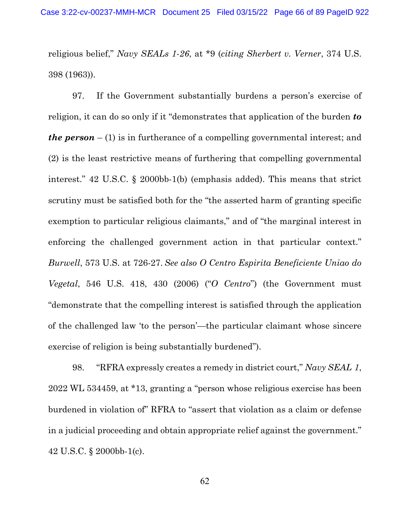religious belief," *Navy SEALs 1-26*, at \*9 (*citing Sherbert v. Verner*, 374 U.S. 398 (1963)).

97. If the Government substantially burdens a person's exercise of religion, it can do so only if it "demonstrates that application of the burden *to the person* – (1) is in furtherance of a compelling governmental interest; and (2) is the least restrictive means of furthering that compelling governmental interest." 42 U.S.C. § 2000bb-1(b) (emphasis added). This means that strict scrutiny must be satisfied both for the "the asserted harm of granting specific exemption to particular religious claimants," and of "the marginal interest in enforcing the challenged government action in that particular context." *Burwell*, 573 U.S. at 726-27. *See also O Centro Espirita Beneficiente Uniao do Vegetal*, 546 U.S. 418, 430 (2006) ("*O Centro*") (the Government must "demonstrate that the compelling interest is satisfied through the application of the challenged law 'to the person'—the particular claimant whose sincere exercise of religion is being substantially burdened").

98. "RFRA expressly creates a remedy in district court," *Navy SEAL 1*, 2022 WL 534459, at \*13, granting a "person whose religious exercise has been burdened in violation of" RFRA to "assert that violation as a claim or defense in a judicial proceeding and obtain appropriate relief against the government." 42 U.S.C. § 2000bb-1(c).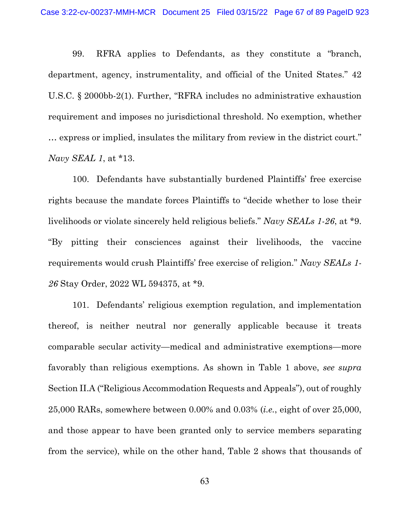99. RFRA applies to Defendants, as they constitute a "branch, department, agency, instrumentality, and official of the United States." 42 U.S.C. § 2000bb-2(1). Further, "RFRA includes no administrative exhaustion requirement and imposes no jurisdictional threshold. No exemption, whether … express or implied, insulates the military from review in the district court." *Navy SEAL 1*, at \*13.

100. Defendants have substantially burdened Plaintiffs' free exercise rights because the mandate forces Plaintiffs to "decide whether to lose their livelihoods or violate sincerely held religious beliefs." *Navy SEALs 1-26*, at \*9. "By pitting their consciences against their livelihoods, the vaccine requirements would crush Plaintiffs' free exercise of religion." *Navy SEALs 1- 26* Stay Order, 2022 WL 594375, at \*9.

101. Defendants' religious exemption regulation, and implementation thereof, is neither neutral nor generally applicable because it treats comparable secular activity—medical and administrative exemptions—more favorably than religious exemptions. As shown in Table 1 above, *see supra*  Section [II.A](#page-33-0) (["Religious Accommodation Requests and Appeals"](#page-33-0)), out of roughly 25,000 RARs, somewhere between 0.00% and 0.03% (*i.e.*, eight of over 25,000, and those appear to have been granted only to service members separating from the service), while on the other hand, Table 2 shows that thousands of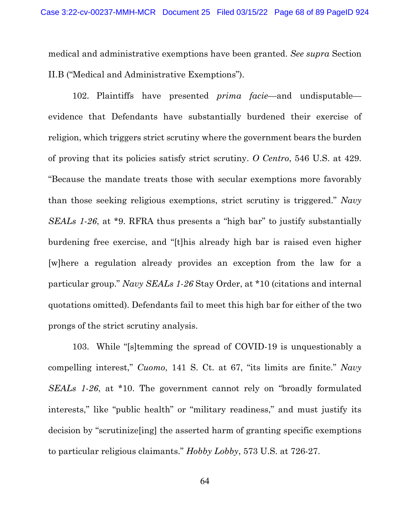medical and administrative exemptions have been granted. *See supra* Section [II.B](#page-35-1) (["Medical and Administrative Exemptions"](#page-35-1)).

102. Plaintiffs have presented *prima facie*—and undisputable evidence that Defendants have substantially burdened their exercise of religion, which triggers strict scrutiny where the government bears the burden of proving that its policies satisfy strict scrutiny. *O Centro*, 546 U.S. at 429. "Because the mandate treats those with secular exemptions more favorably than those seeking religious exemptions, strict scrutiny is triggered." *Navy SEALs 1-26*, at \*9. RFRA thus presents a "high bar" to justify substantially burdening free exercise, and "[t]his already high bar is raised even higher [w]here a regulation already provides an exception from the law for a particular group." *Navy SEALs 1-26* Stay Order, at \*10 (citations and internal quotations omitted). Defendants fail to meet this high bar for either of the two prongs of the strict scrutiny analysis.

103. While "[s]temming the spread of COVID-19 is unquestionably a compelling interest," *Cuomo*, 141 S. Ct. at 67, "its limits are finite." *Navy SEALs 1-26*, at \*10. The government cannot rely on "broadly formulated interests," like "public health" or "military readiness," and must justify its decision by "scrutinize[ing] the asserted harm of granting specific exemptions to particular religious claimants." *Hobby Lobby*, 573 U.S. at 726-27.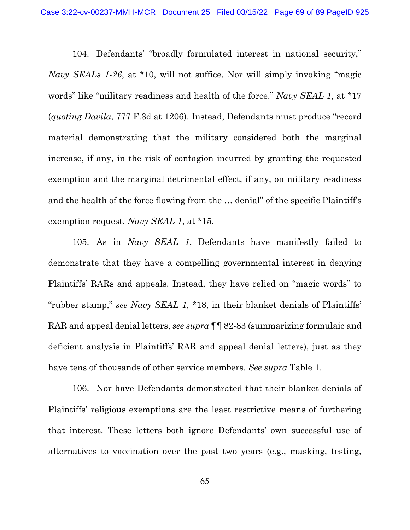104. Defendants' "broadly formulated interest in national security," *Navy SEALs 1-26*, at \*10, will not suffice. Nor will simply invoking "magic words" like "military readiness and health of the force." *Navy SEAL 1*, at \*17 (*quoting Davila*, 777 F.3d at 1206). Instead, Defendants must produce "record material demonstrating that the military considered both the marginal increase, if any, in the risk of contagion incurred by granting the requested exemption and the marginal detrimental effect, if any, on military readiness and the health of the force flowing from the … denial" of the specific Plaintiff's exemption request. *Navy SEAL 1*, at \*15.

105. As in *Navy SEAL 1*, Defendants have manifestly failed to demonstrate that they have a compelling governmental interest in denying Plaintiffs' RARs and appeals. Instead, they have relied on "magic words" to "rubber stamp," *see Navy SEAL 1*, \*18, in their blanket denials of Plaintiffs' RAR and appeal denial letters, *see supra* ¶¶ [82-](#page-56-0)[83](#page-56-1) (summarizing formulaic and deficient analysis in Plaintiffs' RAR and appeal denial letters), just as they have tens of thousands of other service members. *See supra* Table 1.

106. Nor have Defendants demonstrated that their blanket denials of Plaintiffs' religious exemptions are the least restrictive means of furthering that interest. These letters both ignore Defendants' own successful use of alternatives to vaccination over the past two years (e.g., masking, testing,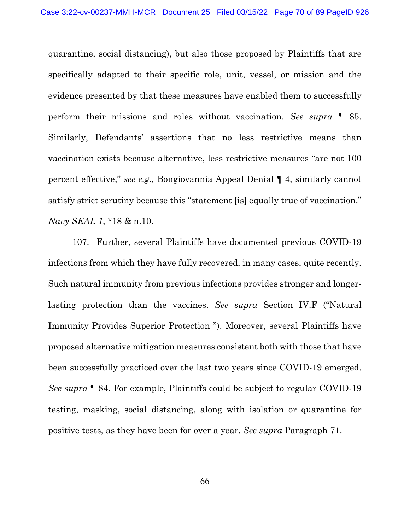quarantine, social distancing), but also those proposed by Plaintiffs that are specifically adapted to their specific role, unit, vessel, or mission and the evidence presented by that these measures have enabled them to successfully perform their missions and roles without vaccination. *See supra* ¶ [85.](#page-57-0) Similarly, Defendants' assertions that no less restrictive means than vaccination exists because alternative, less restrictive measures "are not 100 percent effective," *see e.g.,* Bongiovannia Appeal Denial ¶ 4, similarly cannot satisfy strict scrutiny because this "statement [is] equally true of vaccination." *Navy SEAL 1*, \*18 & n.10.

107. Further, several Plaintiffs have documented previous COVID-19 infections from which they have fully recovered, in many cases, quite recently. Such natural immunity from previous infections provides stronger and longerlasting protection than the vaccines. *See supra* Section [IV.F](#page-50-1) (["Natural](#page-50-1)  [Immunity Provides Superior Protection "](#page-50-1)). Moreover, several Plaintiffs have proposed alternative mitigation measures consistent both with those that have been successfully practiced over the last two years since COVID-19 emerged. *See supra* ¶ [84.](#page-57-1) For example, Plaintiffs could be subject to regular COVID-19 testing, masking, social distancing, along with isolation or quarantine for positive tests, as they have been for over a year. *See supra* Paragraph [71.](#page-49-2)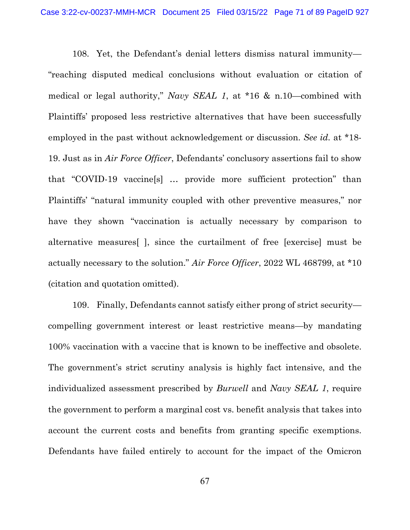108. Yet, the Defendant's denial letters dismiss natural immunity— "reaching disputed medical conclusions without evaluation or citation of medical or legal authority," *Navy SEAL 1*, at \*16 & n.10—combined with Plaintiffs' proposed less restrictive alternatives that have been successfully employed in the past without acknowledgement or discussion. *See id.* at \*18- 19. Just as in *Air Force Officer*, Defendants' conclusory assertions fail to show that "COVID-19 vaccine[s] … provide more sufficient protection" than Plaintiffs' "natural immunity coupled with other preventive measures," nor have they shown "vaccination is actually necessary by comparison to alternative measures[ ], since the curtailment of free [exercise] must be actually necessary to the solution." *Air Force Officer*, 2022 WL 468799, at \*10 (citation and quotation omitted).

109. Finally, Defendants cannot satisfy either prong of strict security compelling government interest or least restrictive means—by mandating 100% vaccination with a vaccine that is known to be ineffective and obsolete. The government's strict scrutiny analysis is highly fact intensive, and the individualized assessment prescribed by *Burwell* and *Navy SEAL 1*, require the government to perform a marginal cost vs. benefit analysis that takes into account the current costs and benefits from granting specific exemptions. Defendants have failed entirely to account for the impact of the Omicron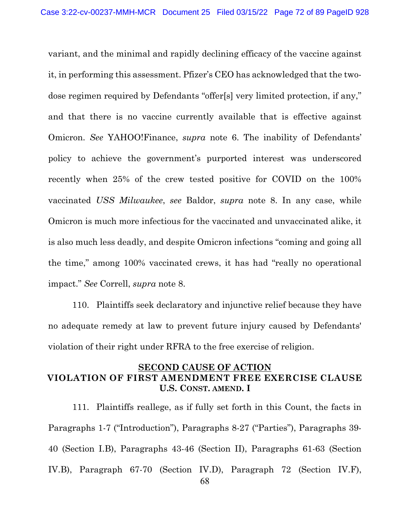variant, and the minimal and rapidly declining efficacy of the vaccine against it, in performing this assessment. Pfizer's CEO has acknowledged that the twodose regimen required by Defendants "offer[s] very limited protection, if any," and that there is no vaccine currently available that is effective against Omicron. *See* YAHOO!Finance, *supra* note [6.](#page-7-0) The inability of Defendants' policy to achieve the government's purported interest was underscored recently when 25% of the crew tested positive for COVID on the 100% vaccinated *USS Milwaukee*, *see* Baldor, *supra* note [8.](#page-8-0) In any case, while Omicron is much more infectious for the vaccinated and unvaccinated alike, it is also much less deadly, and despite Omicron infections "coming and going all the time," among 100% vaccinated crews, it has had "really no operational impact." *See* Correll, *supra* note [8.](#page-8-0)

110. Plaintiffs seek declaratory and injunctive relief because they have no adequate remedy at law to prevent future injury caused by Defendants' violation of their right under RFRA to the free exercise of religion.

# **SECOND CAUSE OF ACTION VIOLATION OF FIRST AMENDMENT FREE EXERCISE CLAUSE U.S. CONST. AMEND. I**

68 111. Plaintiffs reallege, as if fully set forth in this Count, the facts in Paragraphs 1-7 ("Introduction"), Paragraphs 8-27 ("Parties"), Paragraphs 39- 40 (Section I.B), Paragraphs 43-46 (Section II), Paragraphs 61-63 (Section IV.B), Paragraph 67-70 (Section IV.D), Paragraph 72 (Section IV.F),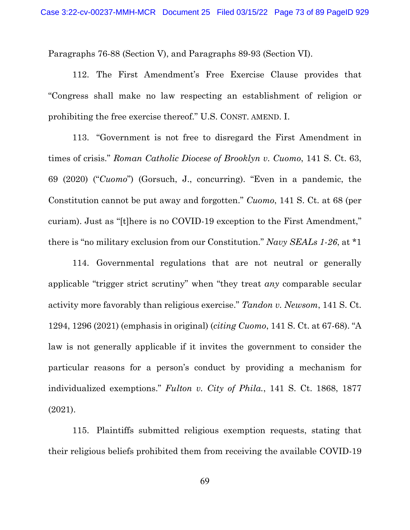Paragraphs 76-88 (Section V), and Paragraphs 89-93 (Section VI).

112. The First Amendment's Free Exercise Clause provides that "Congress shall make no law respecting an establishment of religion or prohibiting the free exercise thereof." U.S. CONST. AMEND. I.

113. "Government is not free to disregard the First Amendment in times of crisis." *Roman Catholic Diocese of Brooklyn v. Cuomo*, 141 S. Ct. 63, 69 (2020) ("*Cuomo*") (Gorsuch, J., concurring). "Even in a pandemic, the Constitution cannot be put away and forgotten." *Cuomo*, 141 S. Ct. at 68 (per curiam). Just as "[t]here is no COVID-19 exception to the First Amendment," there is "no military exclusion from our Constitution." *Navy SEALs 1-26*, at \*1

114. Governmental regulations that are not neutral or generally applicable "trigger strict scrutiny" when "they treat *any* comparable secular activity more favorably than religious exercise." *Tandon v. Newsom*, 141 S. Ct. 1294, 1296 (2021) (emphasis in original) (*citing Cuomo*, 141 S. Ct. at 67-68). "A law is not generally applicable if it invites the government to consider the particular reasons for a person's conduct by providing a mechanism for individualized exemptions." *Fulton v. City of Phila.*, 141 S. Ct. 1868, 1877 (2021).

115. Plaintiffs submitted religious exemption requests, stating that their religious beliefs prohibited them from receiving the available COVID-19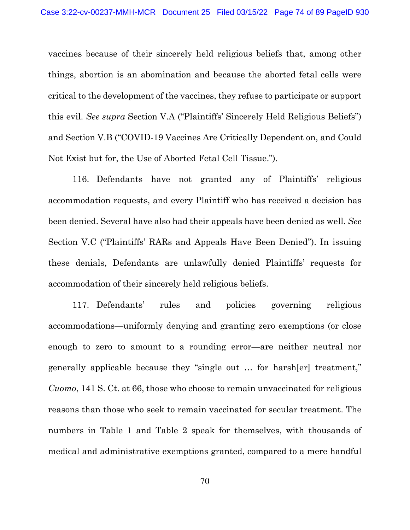vaccines because of their sincerely held religious beliefs that, among other things, abortion is an abomination and because the aborted fetal cells were critical to the development of the vaccines, they refuse to participate or support this evil. *See supra* Section [V.A](#page-52-0) (["Plaintiffs' Sincerely Held Religious Beliefs"](#page-52-0)) and Section [V.B](#page-54-0) (["COVID-19 Vaccines Are Critically Dependent on, and Could](#page-54-0)  [Not Exist but for, the Use of Aborted Fetal Cell Tissue."](#page-54-0)).

116. Defendants have not granted any of Plaintiffs' religious accommodation requests, and every Plaintiff who has received a decision has been denied. Several have also had their appeals have been denied as well. *See*  Section [V.C](#page-55-0) (["Plaintiffs' RARs and Appeals Have Been Denied"](#page-55-0)). In issuing these denials, Defendants are unlawfully denied Plaintiffs' requests for accommodation of their sincerely held religious beliefs.

117. Defendants' rules and policies governing religious accommodations—uniformly denying and granting zero exemptions (or close enough to zero to amount to a rounding error—are neither neutral nor generally applicable because they "single out … for harsh[er] treatment," *Cuomo*, 141 S. Ct. at 66, those who choose to remain unvaccinated for religious reasons than those who seek to remain vaccinated for secular treatment. The numbers in Table 1 and Table 2 speak for themselves, with thousands of medical and administrative exemptions granted, compared to a mere handful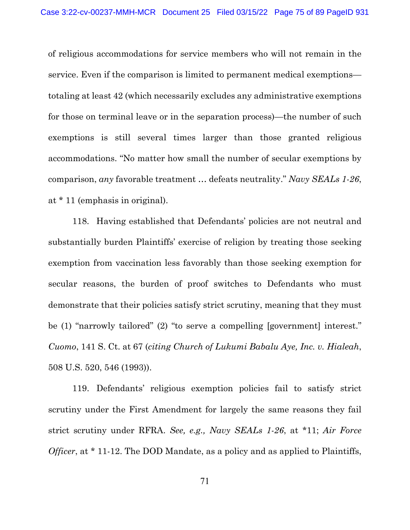of religious accommodations for service members who will not remain in the service. Even if the comparison is limited to permanent medical exemptions totaling at least 42 (which necessarily excludes any administrative exemptions for those on terminal leave or in the separation process)—the number of such exemptions is still several times larger than those granted religious accommodations. "No matter how small the number of secular exemptions by comparison, *any* favorable treatment … defeats neutrality." *Navy SEALs 1-26*, at \* 11 (emphasis in original).

118. Having established that Defendants' policies are not neutral and substantially burden Plaintiffs' exercise of religion by treating those seeking exemption from vaccination less favorably than those seeking exemption for secular reasons, the burden of proof switches to Defendants who must demonstrate that their policies satisfy strict scrutiny, meaning that they must be (1) "narrowly tailored" (2) "to serve a compelling [government] interest." *Cuomo*, 141 S. Ct. at 67 (*citing Church of Lukumi Babalu Aye, Inc. v. Hialeah*, 508 U.S. 520, 546 (1993)).

119. Defendants' religious exemption policies fail to satisfy strict scrutiny under the First Amendment for largely the same reasons they fail strict scrutiny under RFRA. *See, e.g., Navy SEALs 1-26*, at \*11; *Air Force Officer*, at \* 11-12. The DOD Mandate, as a policy and as applied to Plaintiffs,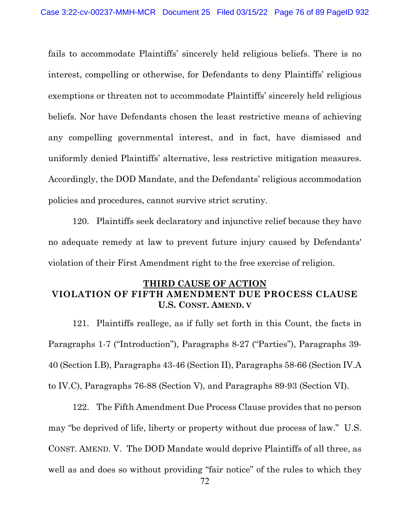fails to accommodate Plaintiffs' sincerely held religious beliefs. There is no interest, compelling or otherwise, for Defendants to deny Plaintiffs' religious exemptions or threaten not to accommodate Plaintiffs' sincerely held religious beliefs. Nor have Defendants chosen the least restrictive means of achieving any compelling governmental interest, and in fact, have dismissed and uniformly denied Plaintiffs' alternative, less restrictive mitigation measures. Accordingly, the DOD Mandate, and the Defendants' religious accommodation policies and procedures, cannot survive strict scrutiny.

120. Plaintiffs seek declaratory and injunctive relief because they have no adequate remedy at law to prevent future injury caused by Defendants' violation of their First Amendment right to the free exercise of religion.

# **THIRD CAUSE OF ACTION VIOLATION OF FIFTH AMENDMENT DUE PROCESS CLAUSE U.S. CONST. AMEND. V**

121. Plaintiffs reallege, as if fully set forth in this Count, the facts in Paragraphs 1-7 ("Introduction"), Paragraphs 8-27 ("Parties"), Paragraphs 39- 40 (Section I.B), Paragraphs 43-46 (Section II), Paragraphs 58-66 (Section IV.A to IV.C), Paragraphs 76-88 (Section V), and Paragraphs 89-93 (Section VI).

122. The Fifth Amendment Due Process Clause provides that no person may "be deprived of life, liberty or property without due process of law." U.S. CONST. AMEND. V. The DOD Mandate would deprive Plaintiffs of all three, as well as and does so without providing "fair notice" of the rules to which they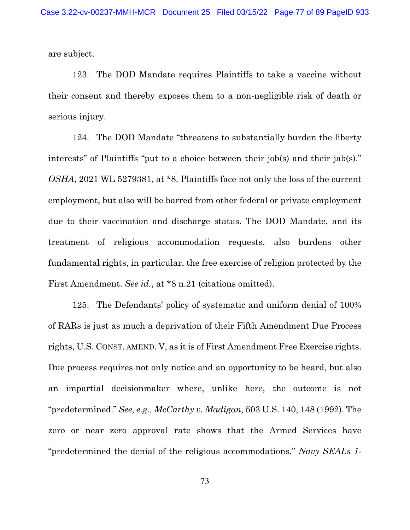are subject.

123. The DOD Mandate requires Plaintiffs to take a vaccine without their consent and thereby exposes them to a non-negligible risk of death or serious injury.

124. The DOD Mandate "threatens to substantially burden the liberty interests" of Plaintiffs "put to a choice between their job(s) and their jab(s)." *OSHA*, 2021 WL 5279381, at \*8. Plaintiffs face not only the loss of the current employment, but also will be barred from other federal or private employment due to their vaccination and discharge status. The DOD Mandate, and its treatment of religious accommodation requests, also burdens other fundamental rights, in particular, the free exercise of religion protected by the First Amendment. *See id.*, at \*8 n.21 (citations omitted).

125. The Defendants' policy of systematic and uniform denial of 100% of RARs is just as much a deprivation of their Fifth Amendment Due Process rights, U.S. CONST. AMEND. V, as it is of First Amendment Free Exercise rights. Due process requires not only notice and an opportunity to be heard, but also an impartial decisionmaker where, unlike here, the outcome is not "predetermined." *See, e.g., McCarthy v. Madigan,* 503 U.S. 140, 148 (1992). The zero or near zero approval rate shows that the Armed Services have "predetermined the denial of the religious accommodations." *Navy SEALs 1-*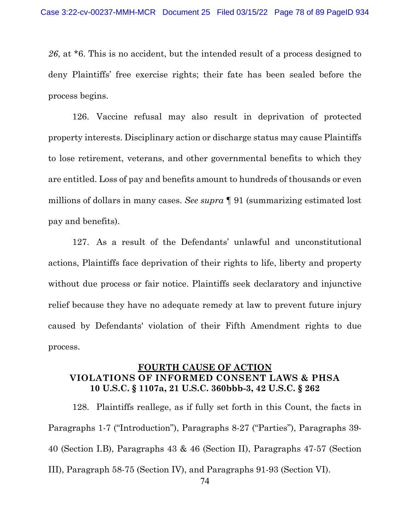*26*, at \*6. This is no accident, but the intended result of a process designed to deny Plaintiffs' free exercise rights; their fate has been sealed before the process begins.

126. Vaccine refusal may also result in deprivation of protected property interests. Disciplinary action or discharge status may cause Plaintiffs to lose retirement, veterans, and other governmental benefits to which they are entitled. Loss of pay and benefits amount to hundreds of thousands or even millions of dollars in many cases. *See supra* ¶ [91](#page-61-0) (summarizing estimated lost pay and benefits).

127. As a result of the Defendants' unlawful and unconstitutional actions, Plaintiffs face deprivation of their rights to life, liberty and property without due process or fair notice. Plaintiffs seek declaratory and injunctive relief because they have no adequate remedy at law to prevent future injury caused by Defendants' violation of their Fifth Amendment rights to due process.

# **FOURTH CAUSE OF ACTION VIOLATIONS OF INFORMED CONSENT LAWS & PHSA 10 U.S.C. § 1107a, 21 U.S.C. 360bbb-3, 42 U.S.C. § 262**

128. Plaintiffs reallege, as if fully set forth in this Count, the facts in Paragraphs 1-7 ("Introduction"), Paragraphs 8-27 ("Parties"), Paragraphs 39- 40 (Section I.B), Paragraphs 43 & 46 (Section II), Paragraphs 47-57 (Section III), Paragraph 58-75 (Section IV), and Paragraphs 91-93 (Section VI).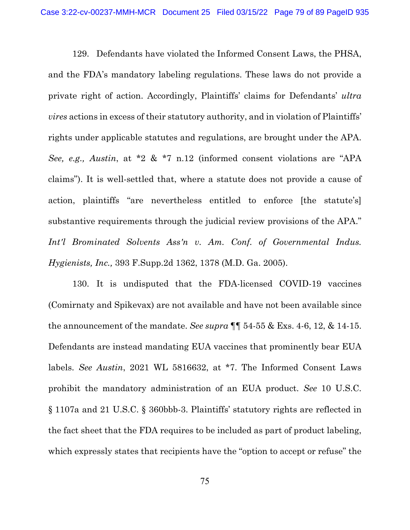129. Defendants have violated the Informed Consent Laws, the PHSA, and the FDA's mandatory labeling regulations. These laws do not provide a private right of action. Accordingly, Plaintiffs' claims for Defendants' *ultra vires* actions in excess of their statutory authority, and in violation of Plaintiffs' rights under applicable statutes and regulations, are brought under the APA. *See, e.g., Austin*, at \*2 & \*7 n.12 (informed consent violations are "APA claims"). It is well-settled that, where a statute does not provide a cause of action, plaintiffs "are nevertheless entitled to enforce [the statute's] substantive requirements through the judicial review provisions of the APA." *Int'l Brominated Solvents Ass'n v. Am. Conf. of Governmental Indus. Hygienists, Inc.,* 393 F.Supp.2d 1362, 1378 (M.D. Ga. 2005).

130. It is undisputed that the FDA-licensed COVID-19 vaccines (Comirnaty and Spikevax) are not available and have not been available since the announcement of the mandate. *See supra* ¶¶ [54-](#page-40-0)[55](#page-40-1) & Exs. 4-6, 12, & 14-15. Defendants are instead mandating EUA vaccines that prominently bear EUA labels. *See Austin*, 2021 WL 5816632, at \*7. The Informed Consent Laws prohibit the mandatory administration of an EUA product. *See* 10 U.S.C. § 1107a and 21 U.S.C. § 360bbb-3. Plaintiffs' statutory rights are reflected in the fact sheet that the FDA requires to be included as part of product labeling, which expressly states that recipients have the "option to accept or refuse" the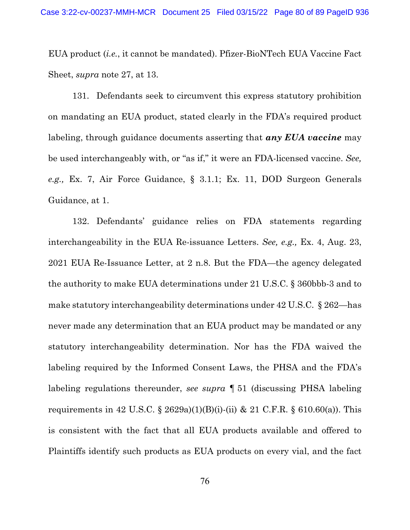EUA product (*i.e.*, it cannot be mandated). Pfizer-BioNTech EUA Vaccine Fact Sheet, *supra* note [27,](#page-37-0) at 13.

131. Defendants seek to circumvent this express statutory prohibition on mandating an EUA product, stated clearly in the FDA's required product labeling, through guidance documents asserting that *any EUA vaccine* may be used interchangeably with, or "as if," it were an FDA-licensed vaccine. *See, e.g.,* Ex. 7, Air Force Guidance, § 3.1.1; Ex. 11, DOD Surgeon Generals Guidance, at 1.

132. Defendants' guidance relies on FDA statements regarding interchangeability in the EUA Re-issuance Letters. *See, e.g.,* Ex. 4, Aug. 23, 2021 EUA Re-Issuance Letter, at 2 n.8. But the FDA—the agency delegated the authority to make EUA determinations under 21 U.S.C. § 360bbb-3 and to make statutory interchangeability determinations under 42 U.S.C. § 262—has never made any determination that an EUA product may be mandated or any statutory interchangeability determination. Nor has the FDA waived the labeling required by the Informed Consent Laws, the PHSA and the FDA's labeling regulations thereunder, *see supra* ¶ [51](#page-38-0) (discussing PHSA labeling requirements in 42 U.S.C. § 2629a)(1)(B)(i)-(ii) & 21 C.F.R. § 610.60(a)). This is consistent with the fact that all EUA products available and offered to Plaintiffs identify such products as EUA products on every vial, and the fact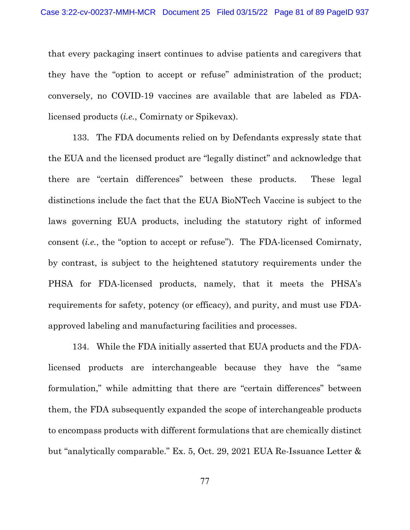that every packaging insert continues to advise patients and caregivers that they have the "option to accept or refuse" administration of the product; conversely, no COVID-19 vaccines are available that are labeled as FDAlicensed products (*i.e.*, Comirnaty or Spikevax).

133. The FDA documents relied on by Defendants expressly state that the EUA and the licensed product are "legally distinct" and acknowledge that there are "certain differences" between these products. These legal distinctions include the fact that the EUA BioNTech Vaccine is subject to the laws governing EUA products, including the statutory right of informed consent (*i.e.*, the "option to accept or refuse"). The FDA-licensed Comirnaty, by contrast, is subject to the heightened statutory requirements under the PHSA for FDA-licensed products, namely, that it meets the PHSA's requirements for safety, potency (or efficacy), and purity, and must use FDAapproved labeling and manufacturing facilities and processes.

134. While the FDA initially asserted that EUA products and the FDAlicensed products are interchangeable because they have the "same formulation," while admitting that there are "certain differences" between them, the FDA subsequently expanded the scope of interchangeable products to encompass products with different formulations that are chemically distinct but "analytically comparable." Ex. 5, Oct. 29, 2021 EUA Re-Issuance Letter &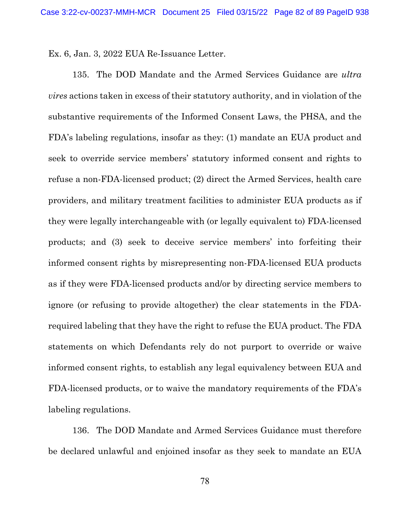Ex. 6, Jan. 3, 2022 EUA Re-Issuance Letter.

135. The DOD Mandate and the Armed Services Guidance are *ultra vires* actions taken in excess of their statutory authority, and in violation of the substantive requirements of the Informed Consent Laws, the PHSA, and the FDA's labeling regulations, insofar as they: (1) mandate an EUA product and seek to override service members' statutory informed consent and rights to refuse a non-FDA-licensed product; (2) direct the Armed Services, health care providers, and military treatment facilities to administer EUA products as if they were legally interchangeable with (or legally equivalent to) FDA-licensed products; and (3) seek to deceive service members' into forfeiting their informed consent rights by misrepresenting non-FDA-licensed EUA products as if they were FDA-licensed products and/or by directing service members to ignore (or refusing to provide altogether) the clear statements in the FDArequired labeling that they have the right to refuse the EUA product. The FDA statements on which Defendants rely do not purport to override or waive informed consent rights, to establish any legal equivalency between EUA and FDA-licensed products, or to waive the mandatory requirements of the FDA's labeling regulations.

136. The DOD Mandate and Armed Services Guidance must therefore be declared unlawful and enjoined insofar as they seek to mandate an EUA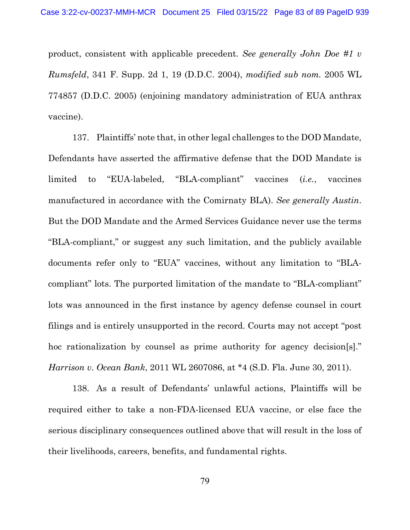product, consistent with applicable precedent. *See generally John Doe #1 v Rumsfeld*, 341 F. Supp. 2d 1, 19 (D.D.C. 2004), *modified sub nom.* 2005 WL 774857 (D.D.C. 2005) (enjoining mandatory administration of EUA anthrax vaccine).

137. Plaintiffs' note that, in other legal challenges to the DOD Mandate, Defendants have asserted the affirmative defense that the DOD Mandate is limited to "EUA-labeled, "BLA-compliant" vaccines (*i.e.*, vaccines manufactured in accordance with the Comirnaty BLA). *See generally Austin*. But the DOD Mandate and the Armed Services Guidance never use the terms "BLA-compliant," or suggest any such limitation, and the publicly available documents refer only to "EUA" vaccines, without any limitation to "BLAcompliant" lots. The purported limitation of the mandate to "BLA-compliant" lots was announced in the first instance by agency defense counsel in court filings and is entirely unsupported in the record. Courts may not accept "post hoc rationalization by counsel as prime authority for agency decision[s]." *Harrison v. Ocean Bank*, 2011 WL 2607086, at \*4 (S.D. Fla. June 30, 2011).

138. As a result of Defendants' unlawful actions, Plaintiffs will be required either to take a non-FDA-licensed EUA vaccine, or else face the serious disciplinary consequences outlined above that will result in the loss of their livelihoods, careers, benefits, and fundamental rights.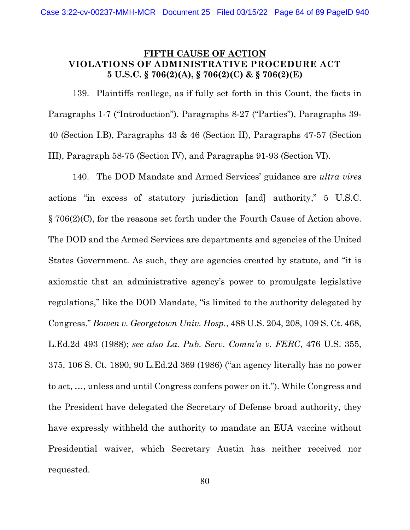#### **FIFTH CAUSE OF ACTION VIOLATIONS OF ADMINISTRATIVE PROCEDURE ACT 5 U.S.C. § 706(2)(A), § 706(2)(C) & § 706(2)(E)**

139. Plaintiffs reallege, as if fully set forth in this Count, the facts in Paragraphs 1-7 ("Introduction"), Paragraphs 8-27 ("Parties"), Paragraphs 39- 40 (Section I.B), Paragraphs 43 & 46 (Section II), Paragraphs 47-57 (Section III), Paragraph 58-75 (Section IV), and Paragraphs 91-93 (Section VI).

140. The DOD Mandate and Armed Services' guidance are *ultra vires*  actions "in excess of statutory jurisdiction [and] authority," 5 U.S.C. § 706(2)(C), for the reasons set forth under the Fourth Cause of Action above. The DOD and the Armed Services are departments and agencies of the United States Government. As such, they are agencies created by statute, and "it is axiomatic that an administrative agency's power to promulgate legislative regulations," like the DOD Mandate, "is limited to the authority delegated by Congress." *Bowen v. Georgetown Univ. Hosp.*, 488 U.S. 204, 208, 109 S. Ct. 468, L.Ed.2d 493 (1988); *see also La. Pub. Serv. Comm'n v. FERC*, 476 U.S. 355, 375, 106 S. Ct. 1890, 90 L.Ed.2d 369 (1986) ("an agency literally has no power to act, …, unless and until Congress confers power on it."). While Congress and the President have delegated the Secretary of Defense broad authority, they have expressly withheld the authority to mandate an EUA vaccine without Presidential waiver, which Secretary Austin has neither received nor requested.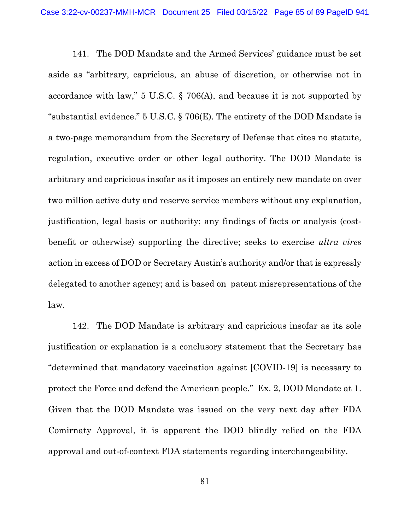141. The DOD Mandate and the Armed Services' guidance must be set aside as "arbitrary, capricious, an abuse of discretion, or otherwise not in accordance with law," 5 U.S.C. § 706(A), and because it is not supported by "substantial evidence." 5 U.S.C. § 706(E). The entirety of the DOD Mandate is a two-page memorandum from the Secretary of Defense that cites no statute, regulation, executive order or other legal authority. The DOD Mandate is arbitrary and capricious insofar as it imposes an entirely new mandate on over two million active duty and reserve service members without any explanation, justification, legal basis or authority; any findings of facts or analysis (costbenefit or otherwise) supporting the directive; seeks to exercise *ultra vires*  action in excess of DOD or Secretary Austin's authority and/or that is expressly delegated to another agency; and is based on patent misrepresentations of the law.

142. The DOD Mandate is arbitrary and capricious insofar as its sole justification or explanation is a conclusory statement that the Secretary has "determined that mandatory vaccination against [COVID-19] is necessary to protect the Force and defend the American people." Ex. 2, DOD Mandate at 1. Given that the DOD Mandate was issued on the very next day after FDA Comirnaty Approval, it is apparent the DOD blindly relied on the FDA approval and out-of-context FDA statements regarding interchangeability.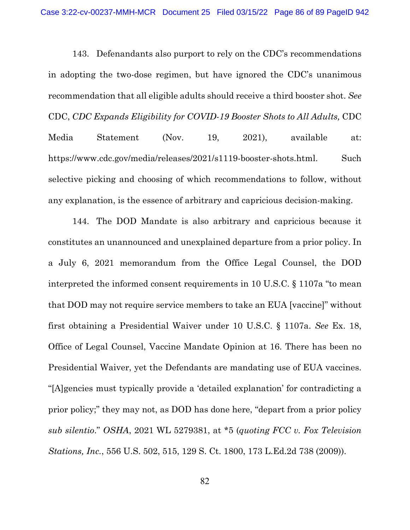143. Defenandants also purport to rely on the CDC's recommendations in adopting the two-dose regimen, but have ignored the CDC's unanimous recommendation that all eligible adults should receive a third booster shot. *See*  CDC, *CDC Expands Eligibility for COVID-19 Booster Shots to All Adults,* CDC Media Statement (Nov. 19, 2021), available at: https://www.cdc.gov/media/releases/2021/s1119-booster-shots.html. Such selective picking and choosing of which recommendations to follow, without any explanation, is the essence of arbitrary and capricious decision-making.

144. The DOD Mandate is also arbitrary and capricious because it constitutes an unannounced and unexplained departure from a prior policy. In a July 6, 2021 memorandum from the Office Legal Counsel, the DOD interpreted the informed consent requirements in 10 U.S.C. § 1107a "to mean that DOD may not require service members to take an EUA [vaccine]" without first obtaining a Presidential Waiver under 10 U.S.C. § 1107a. *See* Ex. 18, Office of Legal Counsel, Vaccine Mandate Opinion at 16. There has been no Presidential Waiver, yet the Defendants are mandating use of EUA vaccines. "[A]gencies must typically provide a 'detailed explanation' for contradicting a prior policy;" they may not, as DOD has done here, "depart from a prior policy *sub silentio*." *OSHA*, 2021 WL 5279381, at \*5 (*quoting FCC v. Fox Television Stations, Inc.*, 556 U.S. 502, 515, 129 S. Ct. 1800, 173 L.Ed.2d 738 (2009)).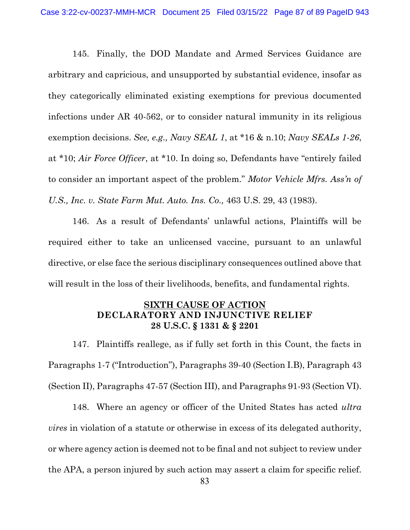145. Finally, the DOD Mandate and Armed Services Guidance are arbitrary and capricious, and unsupported by substantial evidence, insofar as they categorically eliminated existing exemptions for previous documented infections under AR 40-562, or to consider natural immunity in its religious exemption decisions. *See, e.g., Navy SEAL 1*, at \*16 & n.10; *Navy SEALs 1-26*, at \*10; *Air Force Officer*, at \*10. In doing so, Defendants have "entirely failed to consider an important aspect of the problem." *Motor Vehicle Mfrs. Ass'n of U.S., Inc. v. State Farm Mut. Auto. Ins. Co.,* 463 U.S. 29, 43 (1983).

146. As a result of Defendants' unlawful actions, Plaintiffs will be required either to take an unlicensed vaccine, pursuant to an unlawful directive, or else face the serious disciplinary consequences outlined above that will result in the loss of their livelihoods, benefits, and fundamental rights.

## **SIXTH CAUSE OF ACTION DECLARATORY AND INJUNCTIVE RELIEF 28 U.S.C. § 1331 & § 2201**

147. Plaintiffs reallege, as if fully set forth in this Count, the facts in Paragraphs 1-7 ("Introduction"), Paragraphs 39-40 (Section I.B), Paragraph 43 (Section II), Paragraphs 47-57 (Section III), and Paragraphs 91-93 (Section VI).

148. Where an agency or officer of the United States has acted *ultra vires* in violation of a statute or otherwise in excess of its delegated authority, or where agency action is deemed not to be final and not subject to review under the APA, a person injured by such action may assert a claim for specific relief.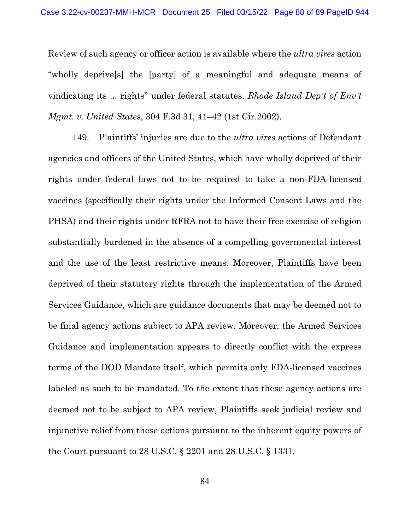Review of such agency or officer action is available where the *ultra vires* action "wholly deprive[s] the [party] of a meaningful and adequate means of vindicating its ... rights" under federal statutes. *Rhode Island Dep't of Env't Mgmt. v. United States*, 304 F.3d 31, 41–42 (1st Cir.2002).

149. Plaintiffs' injuries are due to the *ultra vires* actions of Defendant agencies and officers of the United States, which have wholly deprived of their rights under federal laws not to be required to take a non-FDA-licensed vaccines (specifically their rights under the Informed Consent Laws and the PHSA) and their rights under RFRA not to have their free exercise of religion substantially burdened in the absence of a compelling governmental interest and the use of the least restrictive means. Moreover, Plaintiffs have been deprived of their statutory rights through the implementation of the Armed Services Guidance, which are guidance documents that may be deemed not to be final agency actions subject to APA review. Moreover, the Armed Services Guidance and implementation appears to directly conflict with the express terms of the DOD Mandate itself, which permits only FDA-licensed vaccines labeled as such to be mandated. To the extent that these agency actions are deemed not to be subject to APA review, Plaintiffs seek judicial review and injunctive relief from these actions pursuant to the inherent equity powers of the Court pursuant to 28 U.S.C. § 2201 and 28 U.S.C. § 1331.